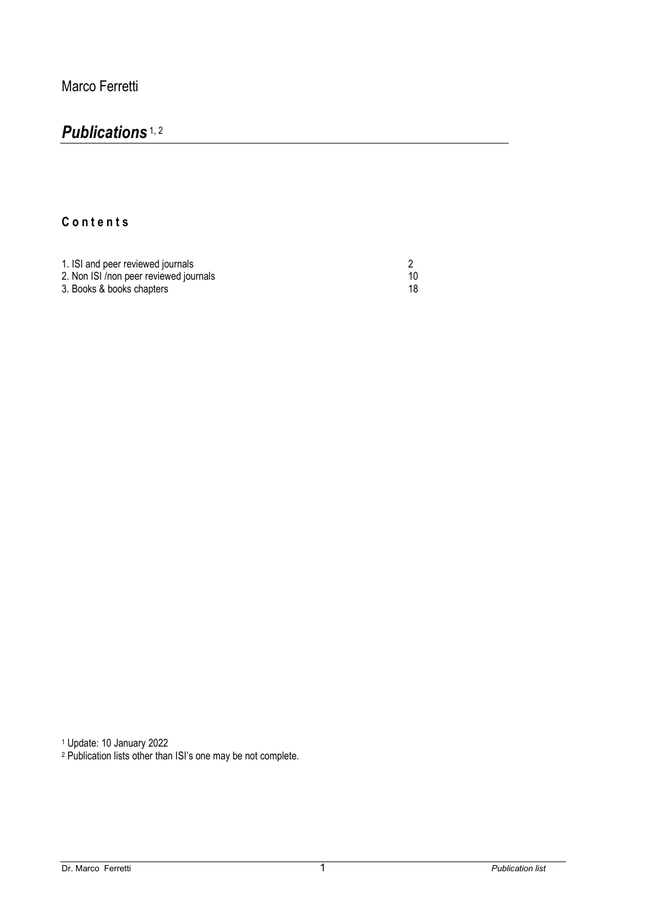## *Publications* 1, 2

## **C o n t e n t s**

| 1. ISI and peer reviewed journals      |    |
|----------------------------------------|----|
| 2. Non ISI /non peer reviewed journals |    |
| 3. Books & books chapters              | 18 |

<sup>1</sup> Update: 10 January 2022

<sup>2</sup> Publication lists other than ISI's one may be not complete.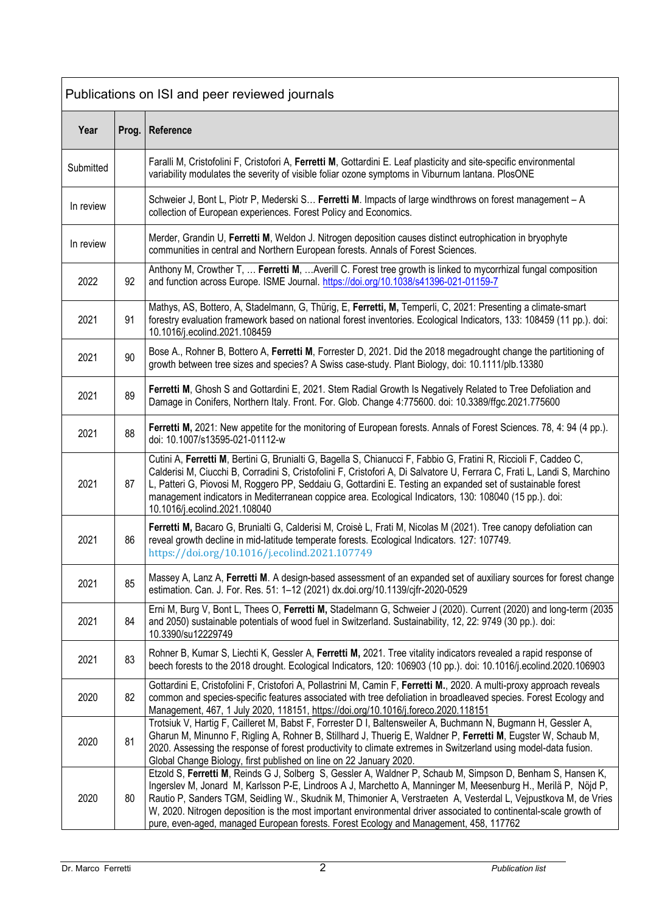| Publications on ISI and peer reviewed journals |       |                                                                                                                                                                                                                                                                                                                                                                                                                                                                                                                                                               |
|------------------------------------------------|-------|---------------------------------------------------------------------------------------------------------------------------------------------------------------------------------------------------------------------------------------------------------------------------------------------------------------------------------------------------------------------------------------------------------------------------------------------------------------------------------------------------------------------------------------------------------------|
| Year                                           | Prog. | Reference                                                                                                                                                                                                                                                                                                                                                                                                                                                                                                                                                     |
| Submitted                                      |       | Faralli M, Cristofolini F, Cristofori A, Ferretti M, Gottardini E. Leaf plasticity and site-specific environmental<br>variability modulates the severity of visible foliar ozone symptoms in Viburnum lantana. PlosONE                                                                                                                                                                                                                                                                                                                                        |
| In review                                      |       | Schweier J, Bont L, Piotr P, Mederski S Ferretti M. Impacts of large windthrows on forest management - A<br>collection of European experiences. Forest Policy and Economics.                                                                                                                                                                                                                                                                                                                                                                                  |
| In review                                      |       | Merder, Grandin U, Ferretti M, Weldon J. Nitrogen deposition causes distinct eutrophication in bryophyte<br>communities in central and Northern European forests. Annals of Forest Sciences.                                                                                                                                                                                                                                                                                                                                                                  |
| 2022                                           | 92    | Anthony M, Crowther T,  Ferretti M,  Averill C. Forest tree growth is linked to mycorrhizal fungal composition<br>and function across Europe. ISME Journal. https://doi.org/10.1038/s41396-021-01159-7                                                                                                                                                                                                                                                                                                                                                        |
| 2021                                           | 91    | Mathys, AS, Bottero, A, Stadelmann, G, Thürig, E, Ferretti, M, Temperli, C, 2021: Presenting a climate-smart<br>forestry evaluation framework based on national forest inventories. Ecological Indicators, 133: 108459 (11 pp.). doi:<br>10.1016/j.ecolind.2021.108459                                                                                                                                                                                                                                                                                        |
| 2021                                           | 90    | Bose A., Rohner B, Bottero A, Ferretti M, Forrester D, 2021. Did the 2018 megadrought change the partitioning of<br>growth between tree sizes and species? A Swiss case-study. Plant Biology, doi: 10.1111/plb.13380                                                                                                                                                                                                                                                                                                                                          |
| 2021                                           | 89    | Ferretti M, Ghosh S and Gottardini E, 2021. Stem Radial Growth Is Negatively Related to Tree Defoliation and<br>Damage in Conifers, Northern Italy. Front. For. Glob. Change 4:775600. doi: 10.3389/ffgc.2021.775600                                                                                                                                                                                                                                                                                                                                          |
| 2021                                           | 88    | Ferretti M, 2021: New appetite for the monitoring of European forests. Annals of Forest Sciences. 78, 4: 94 (4 pp.).<br>doi: 10.1007/s13595-021-01112-w                                                                                                                                                                                                                                                                                                                                                                                                       |
| 2021                                           | 87    | Cutini A, Ferretti M, Bertini G, Brunialti G, Bagella S, Chianucci F, Fabbio G, Fratini R, Riccioli F, Caddeo C,<br>Calderisi M, Ciucchi B, Corradini S, Cristofolini F, Cristofori A, Di Salvatore U, Ferrara C, Frati L, Landi S, Marchino<br>L, Patteri G, Piovosi M, Roggero PP, Seddaiu G, Gottardini E. Testing an expanded set of sustainable forest<br>management indicators in Mediterranean coppice area. Ecological Indicators, 130: 108040 (15 pp.). doi:<br>10.1016/j.ecolind.2021.108040                                                        |
| 2021                                           | 86    | Ferretti M, Bacaro G, Brunialti G, Calderisi M, Croisè L, Frati M, Nicolas M (2021). Tree canopy defoliation can<br>reveal growth decline in mid-latitude temperate forests. Ecological Indicators. 127: 107749.<br>https://doi.org/10.1016/j.ecolind.2021.107749                                                                                                                                                                                                                                                                                             |
| 2021                                           | 85    | Massey A, Lanz A, Ferretti M. A design-based assessment of an expanded set of auxiliary sources for forest change<br>estimation. Can. J. For. Res. 51: 1-12 (2021) dx.doi.org/10.1139/cjfr-2020-0529                                                                                                                                                                                                                                                                                                                                                          |
| 2021                                           | 84    | Erni M, Burg V, Bont L, Thees O, Ferretti M, Stadelmann G, Schweier J (2020). Current (2020) and long-term (2035<br>and 2050) sustainable potentials of wood fuel in Switzerland. Sustainability, 12, 22: 9749 (30 pp.). doi:<br>10.3390/su12229749                                                                                                                                                                                                                                                                                                           |
| 2021                                           | 83    | Rohner B, Kumar S, Liechti K, Gessler A, Ferretti M, 2021. Tree vitality indicators revealed a rapid response of<br>beech forests to the 2018 drought. Ecological Indicators, 120: 106903 (10 pp.). doi: 10.1016/j.ecolind.2020.106903                                                                                                                                                                                                                                                                                                                        |
| 2020                                           | 82    | Gottardini E, Cristofolini F, Cristofori A, Pollastrini M, Camin F, Ferretti M., 2020. A multi-proxy approach reveals<br>common and species-specific features associated with tree defoliation in broadleaved species. Forest Ecology and<br>Management, 467, 1 July 2020, 118151, https://doi.org/10.1016/j.foreco.2020.118151                                                                                                                                                                                                                               |
| 2020                                           | 81    | Trotsiuk V, Hartig F, Cailleret M, Babst F, Forrester D I, Baltensweiler A, Buchmann N, Bugmann H, Gessler A,<br>Gharun M, Minunno F, Rigling A, Rohner B, Stillhard J, Thuerig E, Waldner P, Ferretti M, Eugster W, Schaub M,<br>2020. Assessing the response of forest productivity to climate extremes in Switzerland using model-data fusion.<br>Global Change Biology, first published on line on 22 January 2020.                                                                                                                                       |
| 2020                                           | 80    | Etzold S, Ferretti M, Reinds G J, Solberg S, Gessler A, Waldner P, Schaub M, Simpson D, Benham S, Hansen K,<br>Ingerslev M, Jonard M, Karlsson P-E, Lindroos A J, Marchetto A, Manninger M, Meesenburg H., Merilä P, Nöjd P,<br>Rautio P, Sanders TGM, Seidling W., Skudnik M, Thimonier A, Verstraeten A, Vesterdal L, Vejpustkova M, de Vries<br>W, 2020. Nitrogen deposition is the most important environmental driver associated to continental-scale growth of<br>pure, even-aged, managed European forests. Forest Ecology and Management, 458, 117762 |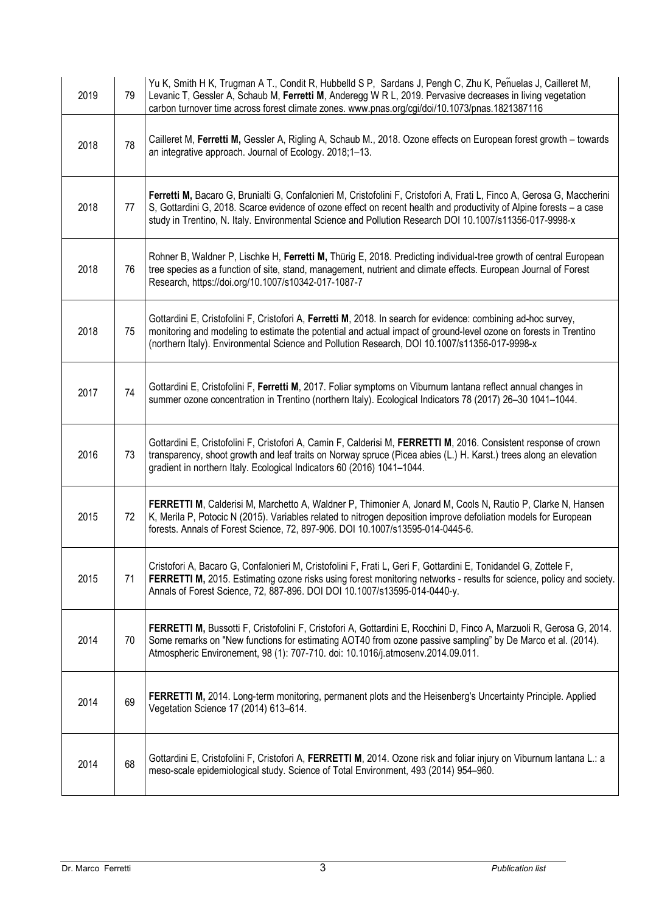| 2019 | 79 | Yu K, Smith H K, Trugman A T., Condit R, Hubbelld S P, Sardans J, Pengh C, Zhu K, Penuelas J, Cailleret M,<br>Levanic T, Gessler A, Schaub M, Ferretti M, Anderegg W R L, 2019. Pervasive decreases in living vegetation<br>carbon turnover time across forest climate zones. www.pnas.org/cgi/doi/10.1073/pnas.1821387116                                |
|------|----|-----------------------------------------------------------------------------------------------------------------------------------------------------------------------------------------------------------------------------------------------------------------------------------------------------------------------------------------------------------|
| 2018 | 78 | Cailleret M, Ferretti M, Gessler A, Rigling A, Schaub M., 2018. Ozone effects on European forest growth - towards<br>an integrative approach. Journal of Ecology. 2018;1-13.                                                                                                                                                                              |
| 2018 | 77 | Ferretti M, Bacaro G, Brunialti G, Confalonieri M, Cristofolini F, Cristofori A, Frati L, Finco A, Gerosa G, Maccherini<br>S, Gottardini G, 2018. Scarce evidence of ozone effect on recent health and productivity of Alpine forests - a case<br>study in Trentino, N. Italy. Environmental Science and Pollution Research DOI 10.1007/s11356-017-9998-x |
| 2018 | 76 | Rohner B, Waldner P, Lischke H, Ferretti M, Thürig E, 2018. Predicting individual-tree growth of central European<br>tree species as a function of site, stand, management, nutrient and climate effects. European Journal of Forest<br>Research, https://doi.org/10.1007/s10342-017-1087-7                                                               |
| 2018 | 75 | Gottardini E, Cristofolini F, Cristofori A, Ferretti M, 2018. In search for evidence: combining ad-hoc survey,<br>monitoring and modeling to estimate the potential and actual impact of ground-level ozone on forests in Trentino<br>(northern Italy). Environmental Science and Pollution Research, DOI 10.1007/s11356-017-9998-x                       |
| 2017 | 74 | Gottardini E, Cristofolini F, Ferretti M, 2017. Foliar symptoms on Viburnum lantana reflect annual changes in<br>summer ozone concentration in Trentino (northern Italy). Ecological Indicators 78 (2017) 26-30 1041-1044.                                                                                                                                |
| 2016 | 73 | Gottardini E, Cristofolini F, Cristofori A, Camin F, Calderisi M, FERRETTI M, 2016. Consistent response of crown<br>transparency, shoot growth and leaf traits on Norway spruce (Picea abies (L.) H. Karst.) trees along an elevation<br>gradient in northern Italy. Ecological Indicators 60 (2016) 1041-1044.                                           |
| 2015 | 72 | FERRETTI M, Calderisi M, Marchetto A, Waldner P, Thimonier A, Jonard M, Cools N, Rautio P, Clarke N, Hansen<br>K, Merila P, Potocic N (2015). Variables related to nitrogen deposition improve defoliation models for European<br>forests. Annals of Forest Science, 72, 897-906. DOI 10.1007/s13595-014-0445-6.                                          |
| 2015 | 71 | Cristofori A, Bacaro G, Confalonieri M, Cristofolini F, Frati L, Geri F, Gottardini E, Tonidandel G, Zottele F,<br>FERRETTI M, 2015. Estimating ozone risks using forest monitoring networks - results for science, policy and society.<br>Annals of Forest Science, 72, 887-896. DOI DOI 10.1007/s13595-014-0440-y.                                      |
| 2014 | 70 | FERRETTI M, Bussotti F, Cristofolini F, Cristofori A, Gottardini E, Rocchini D, Finco A, Marzuoli R, Gerosa G, 2014.<br>Some remarks on "New functions for estimating AOT40 from ozone passive sampling" by De Marco et al. (2014).<br>Atmospheric Environement, 98 (1): 707-710. doi: 10.1016/j.atmosenv.2014.09.011.                                    |
| 2014 | 69 | FERRETTI M, 2014. Long-term monitoring, permanent plots and the Heisenberg's Uncertainty Principle. Applied<br>Vegetation Science 17 (2014) 613-614.                                                                                                                                                                                                      |
| 2014 | 68 | Gottardini E, Cristofolini F, Cristofori A, FERRETTI M, 2014. Ozone risk and foliar injury on Viburnum lantana L.: a<br>meso-scale epidemiological study. Science of Total Environment, 493 (2014) 954-960.                                                                                                                                               |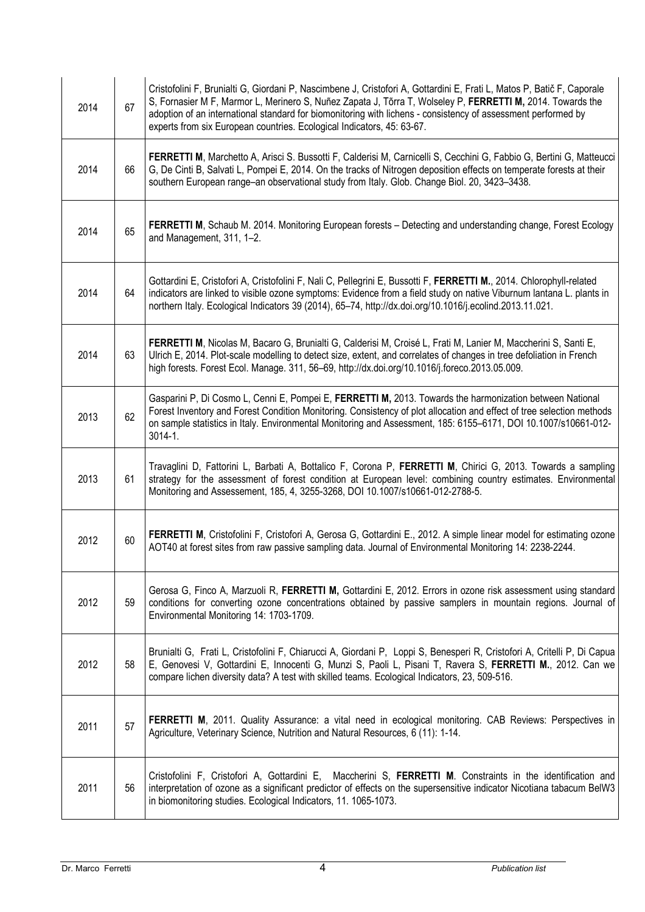| 2014 | 67 | Cristofolini F, Brunialti G, Giordani P, Nascimbene J, Cristofori A, Gottardini E, Frati L, Matos P, Batič F, Caporale<br>S, Fornasier M F, Marmor L, Merinero S, Nuñez Zapata J, Tõrra T, Wolseley P, FERRETTI M, 2014. Towards the<br>adoption of an international standard for biomonitoring with lichens - consistency of assessment performed by<br>experts from six European countries. Ecological Indicators, 45: 63-67. |
|------|----|---------------------------------------------------------------------------------------------------------------------------------------------------------------------------------------------------------------------------------------------------------------------------------------------------------------------------------------------------------------------------------------------------------------------------------|
| 2014 | 66 | FERRETTI M, Marchetto A, Arisci S. Bussotti F, Calderisi M, Carnicelli S, Cecchini G, Fabbio G, Bertini G, Matteucci<br>G, De Cinti B, Salvati L, Pompei E, 2014. On the tracks of Nitrogen deposition effects on temperate forests at their<br>southern European range-an observational study from Italy. Glob. Change Biol. 20, 3423-3438.                                                                                    |
| 2014 | 65 | FERRETTI M, Schaub M. 2014. Monitoring European forests - Detecting and understanding change, Forest Ecology<br>and Management, 311, 1-2.                                                                                                                                                                                                                                                                                       |
| 2014 | 64 | Gottardini E, Cristofori A, Cristofolini F, Nali C, Pellegrini E, Bussotti F, FERRETTI M., 2014. Chlorophyll-related<br>indicators are linked to visible ozone symptoms: Evidence from a field study on native Viburnum lantana L. plants in<br>northern Italy. Ecological Indicators 39 (2014), 65-74, http://dx.doi.org/10.1016/j.ecolind.2013.11.021.                                                                        |
| 2014 | 63 | FERRETTI M, Nicolas M, Bacaro G, Brunialti G, Calderisi M, Croisé L, Frati M, Lanier M, Maccherini S, Santi E,<br>Ulrich E, 2014. Plot-scale modelling to detect size, extent, and correlates of changes in tree defoliation in French<br>high forests. Forest Ecol. Manage. 311, 56-69, http://dx.doi.org/10.1016/j.foreco.2013.05.009.                                                                                        |
| 2013 | 62 | Gasparini P, Di Cosmo L, Cenni E, Pompei E, FERRETTI M, 2013. Towards the harmonization between National<br>Forest Inventory and Forest Condition Monitoring. Consistency of plot allocation and effect of tree selection methods<br>on sample statistics in Italy. Environmental Monitoring and Assessment, 185: 6155-6171, DOI 10.1007/s10661-012-<br>$3014 - 1$ .                                                            |
| 2013 | 61 | Travaglini D, Fattorini L, Barbati A, Bottalico F, Corona P, FERRETTI M, Chirici G, 2013. Towards a sampling<br>strategy for the assessment of forest condition at European level: combining country estimates. Environmental<br>Monitoring and Assessement, 185, 4, 3255-3268, DOI 10.1007/s10661-012-2788-5.                                                                                                                  |
| 2012 | 60 | FERRETTI M, Cristofolini F, Cristofori A, Gerosa G, Gottardini E., 2012. A simple linear model for estimating ozone<br>AOT40 at forest sites from raw passive sampling data. Journal of Environmental Monitoring 14: 2238-2244.                                                                                                                                                                                                 |
| 2012 | 59 | Gerosa G, Finco A, Marzuoli R, FERRETTI M, Gottardini E, 2012. Errors in ozone risk assessment using standard<br>conditions for converting ozone concentrations obtained by passive samplers in mountain regions. Journal of<br>Environmental Monitoring 14: 1703-1709.                                                                                                                                                         |
| 2012 | 58 | Brunialti G, Frati L, Cristofolini F, Chiarucci A, Giordani P, Loppi S, Benesperi R, Cristofori A, Critelli P, Di Capua<br>E, Genovesi V, Gottardini E, Innocenti G, Munzi S, Paoli L, Pisani T, Ravera S, FERRETTI M., 2012. Can we<br>compare lichen diversity data? A test with skilled teams. Ecological Indicators, 23, 509-516.                                                                                           |
| 2011 | 57 | FERRETTI M, 2011. Quality Assurance: a vital need in ecological monitoring. CAB Reviews: Perspectives in<br>Agriculture, Veterinary Science, Nutrition and Natural Resources, 6 (11): 1-14.                                                                                                                                                                                                                                     |
| 2011 | 56 | Cristofolini F, Cristofori A, Gottardini E, Maccherini S, FERRETTI M. Constraints in the identification and<br>interpretation of ozone as a significant predictor of effects on the supersensitive indicator Nicotiana tabacum BelW3<br>in biomonitoring studies. Ecological Indicators, 11. 1065-1073.                                                                                                                         |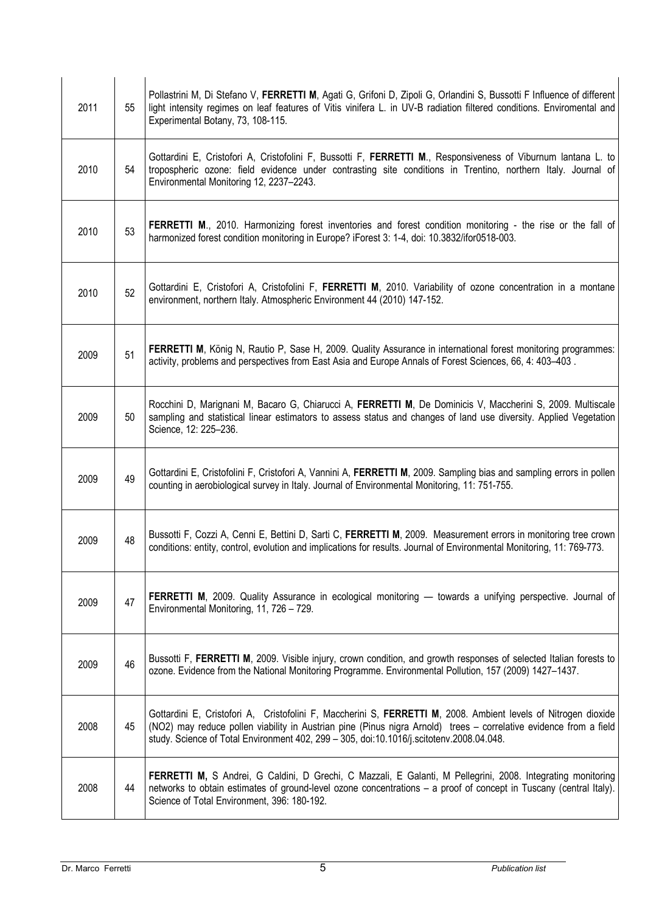| 2011 | 55 | Pollastrini M, Di Stefano V, FERRETTI M, Agati G, Grifoni D, Zipoli G, Orlandini S, Bussotti F Influence of different<br>light intensity regimes on leaf features of Vitis vinifera L. in UV-B radiation filtered conditions. Enviromental and<br>Experimental Botany, 73, 108-115.                                             |
|------|----|---------------------------------------------------------------------------------------------------------------------------------------------------------------------------------------------------------------------------------------------------------------------------------------------------------------------------------|
| 2010 | 54 | Gottardini E, Cristofori A, Cristofolini F, Bussotti F, FERRETTI M., Responsiveness of Viburnum lantana L. to<br>tropospheric ozone: field evidence under contrasting site conditions in Trentino, northern Italy. Journal of<br>Environmental Monitoring 12, 2237-2243.                                                        |
| 2010 | 53 | FERRETTI M., 2010. Harmonizing forest inventories and forest condition monitoring - the rise or the fall of<br>harmonized forest condition monitoring in Europe? iForest 3: 1-4, doi: 10.3832/ifor0518-003.                                                                                                                     |
| 2010 | 52 | Gottardini E, Cristofori A, Cristofolini F, FERRETTI M, 2010. Variability of ozone concentration in a montane<br>environment, northern Italy. Atmospheric Environment 44 (2010) 147-152.                                                                                                                                        |
| 2009 | 51 | FERRETTI M, König N, Rautio P, Sase H, 2009. Quality Assurance in international forest monitoring programmes:<br>activity, problems and perspectives from East Asia and Europe Annals of Forest Sciences, 66, 4: 403-403.                                                                                                       |
| 2009 | 50 | Rocchini D, Marignani M, Bacaro G, Chiarucci A, FERRETTI M, De Dominicis V, Maccherini S, 2009. Multiscale<br>sampling and statistical linear estimators to assess status and changes of land use diversity. Applied Vegetation<br>Science, 12: 225-236.                                                                        |
| 2009 | 49 | Gottardini E, Cristofolini F, Cristofori A, Vannini A, FERRETTI M, 2009. Sampling bias and sampling errors in pollen<br>counting in aerobiological survey in Italy. Journal of Environmental Monitoring, 11: 751-755.                                                                                                           |
| 2009 | 48 | Bussotti F, Cozzi A, Cenni E, Bettini D, Sarti C, FERRETTI M, 2009. Measurement errors in monitoring tree crown<br>conditions: entity, control, evolution and implications for results. Journal of Environmental Monitoring, 11: 769-773.                                                                                       |
| 2009 | 47 | FERRETTI M, 2009. Quality Assurance in ecological monitoring — towards a unifying perspective. Journal of<br>Environmental Monitoring, 11, 726 - 729.                                                                                                                                                                           |
| 2009 | 46 | Bussotti F, FERRETTI M, 2009. Visible injury, crown condition, and growth responses of selected Italian forests to<br>ozone. Evidence from the National Monitoring Programme. Environmental Pollution, 157 (2009) 1427-1437.                                                                                                    |
| 2008 | 45 | Gottardini E, Cristofori A, Cristofolini F, Maccherini S, FERRETTI M, 2008. Ambient levels of Nitrogen dioxide<br>(NO2) may reduce pollen viability in Austrian pine (Pinus nigra Arnold) trees - correlative evidence from a field<br>study. Science of Total Environment 402, 299 - 305, doi:10.1016/j.scitotenv.2008.04.048. |
| 2008 | 44 | FERRETTI M, S Andrei, G Caldini, D Grechi, C Mazzali, E Galanti, M Pellegrini, 2008. Integrating monitoring<br>networks to obtain estimates of ground-level ozone concentrations – a proof of concept in Tuscany (central Italy).<br>Science of Total Environment, 396: 180-192.                                                |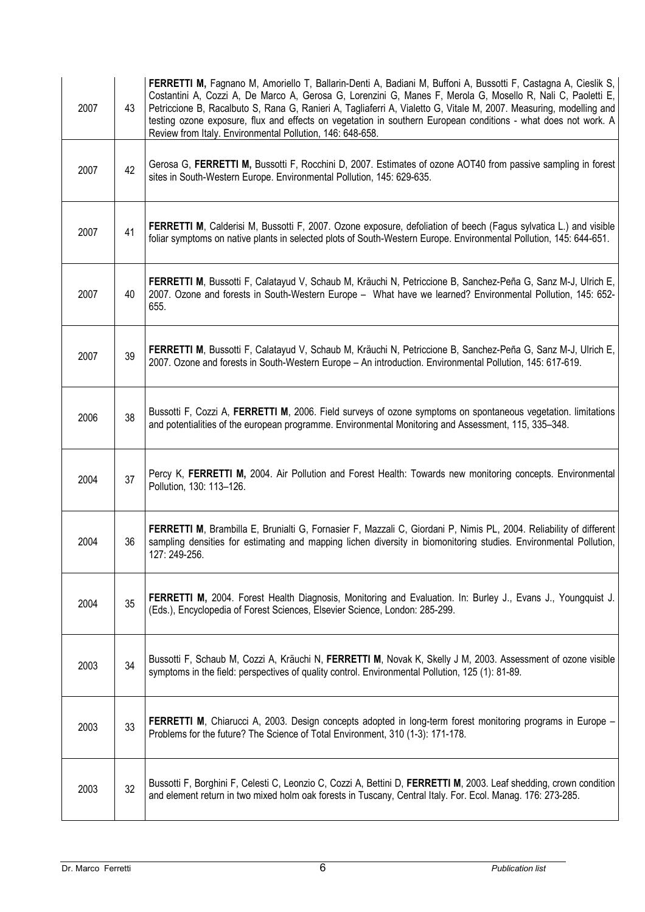| 2007 | 43 | <b>FERRETTI M, Fagnano M, Amoriello T, Ballarin-Denti A, Badiani M, Buffoni A, Bussotti F, Castagna A, Cieslik S,</b><br>Costantini A, Cozzi A, De Marco A, Gerosa G, Lorenzini G, Manes F, Merola G, Mosello R, Nali C, Paoletti E,<br>Petriccione B, Racalbuto S, Rana G, Ranieri A, Tagliaferri A, Vialetto G, Vitale M, 2007. Measuring, modelling and<br>testing ozone exposure, flux and effects on vegetation in southern European conditions - what does not work. A<br>Review from Italy. Environmental Pollution, 146: 648-658. |
|------|----|-------------------------------------------------------------------------------------------------------------------------------------------------------------------------------------------------------------------------------------------------------------------------------------------------------------------------------------------------------------------------------------------------------------------------------------------------------------------------------------------------------------------------------------------|
| 2007 | 42 | Gerosa G, FERRETTI M, Bussotti F, Rocchini D, 2007. Estimates of ozone AOT40 from passive sampling in forest<br>sites in South-Western Europe. Environmental Pollution, 145: 629-635.                                                                                                                                                                                                                                                                                                                                                     |
| 2007 | 41 | <b>FERRETTI M, Calderisi M, Bussotti F, 2007. Ozone exposure, defoliation of beech (Fagus sylvatica L.) and visible</b><br>foliar symptoms on native plants in selected plots of South-Western Europe. Environmental Pollution, 145: 644-651.                                                                                                                                                                                                                                                                                             |
| 2007 | 40 | FERRETTI M, Bussotti F, Calatayud V, Schaub M, Kräuchi N, Petriccione B, Sanchez-Peña G, Sanz M-J, Ulrich E,<br>2007. Ozone and forests in South-Western Europe - What have we learned? Environmental Pollution, 145: 652-<br>655.                                                                                                                                                                                                                                                                                                        |
| 2007 | 39 | FERRETTI M, Bussotti F, Calatayud V, Schaub M, Kräuchi N, Petriccione B, Sanchez-Peña G, Sanz M-J, Ulrich E,<br>2007. Ozone and forests in South-Western Europe - An introduction. Environmental Pollution, 145: 617-619.                                                                                                                                                                                                                                                                                                                 |
| 2006 | 38 | Bussotti F, Cozzi A, FERRETTI M, 2006. Field surveys of ozone symptoms on spontaneous vegetation. limitations<br>and potentialities of the european programme. Environmental Monitoring and Assessment, 115, 335-348.                                                                                                                                                                                                                                                                                                                     |
| 2004 | 37 | Percy K, FERRETTI M, 2004. Air Pollution and Forest Health: Towards new monitoring concepts. Environmental<br>Pollution, 130: 113-126.                                                                                                                                                                                                                                                                                                                                                                                                    |
| 2004 | 36 | FERRETTI M, Brambilla E, Brunialti G, Fornasier F, Mazzali C, Giordani P, Nimis PL, 2004. Reliability of different<br>sampling densities for estimating and mapping lichen diversity in biomonitoring studies. Environmental Pollution,<br>127: 249-256.                                                                                                                                                                                                                                                                                  |
| 2004 | 35 | FERRETTI M, 2004. Forest Health Diagnosis, Monitoring and Evaluation. In: Burley J., Evans J., Youngquist J.<br>(Eds.), Encyclopedia of Forest Sciences, Elsevier Science, London: 285-299.                                                                                                                                                                                                                                                                                                                                               |
| 2003 | 34 | Bussotti F, Schaub M, Cozzi A, Kräuchi N, FERRETTI M, Novak K, Skelly J M, 2003. Assessment of ozone visible<br>symptoms in the field: perspectives of quality control. Environmental Pollution, 125 (1): 81-89.                                                                                                                                                                                                                                                                                                                          |
| 2003 | 33 | FERRETTI M, Chiarucci A, 2003. Design concepts adopted in long-term forest monitoring programs in Europe -<br>Problems for the future? The Science of Total Environment, 310 (1-3): 171-178.                                                                                                                                                                                                                                                                                                                                              |
| 2003 | 32 | Bussotti F, Borghini F, Celesti C, Leonzio C, Cozzi A, Bettini D, FERRETTI M, 2003. Leaf shedding, crown condition<br>and element return in two mixed holm oak forests in Tuscany, Central Italy. For. Ecol. Manag. 176: 273-285.                                                                                                                                                                                                                                                                                                         |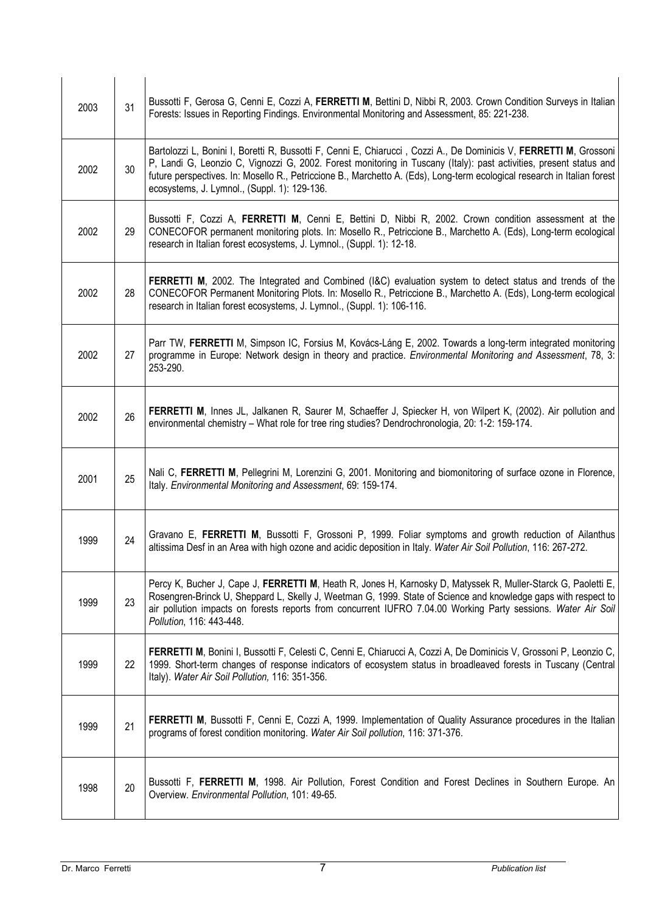| 2003 | 31 | Bussotti F, Gerosa G, Cenni E, Cozzi A, FERRETTI M, Bettini D, Nibbi R, 2003. Crown Condition Surveys in Italian<br>Forests: Issues in Reporting Findings. Environmental Monitoring and Assessment, 85: 221-238.                                                                                                                                                                                                    |
|------|----|---------------------------------------------------------------------------------------------------------------------------------------------------------------------------------------------------------------------------------------------------------------------------------------------------------------------------------------------------------------------------------------------------------------------|
| 2002 | 30 | Bartolozzi L, Bonini I, Boretti R, Bussotti F, Cenni E, Chiarucci, Cozzi A., De Dominicis V, FERRETTI M, Grossoni<br>P, Landi G, Leonzio C, Vignozzi G, 2002. Forest monitoring in Tuscany (Italy): past activities, present status and<br>future perspectives. In: Mosello R., Petriccione B., Marchetto A. (Eds), Long-term ecological research in Italian forest<br>ecosystems, J. Lymnol., (Suppl. 1): 129-136. |
| 2002 | 29 | Bussotti F, Cozzi A, FERRETTI M, Cenni E, Bettini D, Nibbi R, 2002. Crown condition assessment at the<br>CONECOFOR permanent monitoring plots. In: Mosello R., Petriccione B., Marchetto A. (Eds), Long-term ecological<br>research in Italian forest ecosystems, J. Lymnol., (Suppl. 1): 12-18.                                                                                                                    |
| 2002 | 28 | FERRETTI M, 2002. The Integrated and Combined (I&C) evaluation system to detect status and trends of the<br>CONECOFOR Permanent Monitoring Plots. In: Mosello R., Petriccione B., Marchetto A. (Eds), Long-term ecological<br>research in Italian forest ecosystems, J. Lymnol., (Suppl. 1): 106-116.                                                                                                               |
| 2002 | 27 | Parr TW, FERRETTI M, Simpson IC, Forsius M, Kovács-Láng E, 2002. Towards a long-term integrated monitoring<br>programme in Europe: Network design in theory and practice. Environmental Monitoring and Assessment, 78, 3:<br>253-290.                                                                                                                                                                               |
| 2002 | 26 | FERRETTI M, Innes JL, Jalkanen R, Saurer M, Schaeffer J, Spiecker H, von Wilpert K, (2002). Air pollution and<br>environmental chemistry - What role for tree ring studies? Dendrochronologia, 20: 1-2: 159-174.                                                                                                                                                                                                    |
| 2001 | 25 | Nali C, FERRETTI M, Pellegrini M, Lorenzini G, 2001. Monitoring and biomonitoring of surface ozone in Florence,<br>Italy. Environmental Monitoring and Assessment, 69: 159-174.                                                                                                                                                                                                                                     |
| 1999 | 24 | Gravano E, FERRETTI M, Bussotti F, Grossoni P, 1999. Foliar symptoms and growth reduction of Ailanthus<br>altissima Desf in an Area with high ozone and acidic deposition in Italy. Water Air Soil Pollution, 116: 267-272.                                                                                                                                                                                         |
| 1999 | 23 | Percy K, Bucher J, Cape J, FERRETTI M, Heath R, Jones H, Karnosky D, Matyssek R, Muller-Starck G, Paoletti E,<br>Rosengren-Brinck U, Sheppard L, Skelly J, Weetman G, 1999. State of Science and knowledge gaps with respect to<br>air pollution impacts on forests reports from concurrent IUFRO 7.04.00 Working Party sessions. Water Air Soil<br>Pollution, 116: 443-448.                                        |
| 1999 | 22 | FERRETTI M, Bonini I, Bussotti F, Celesti C, Cenni E, Chiarucci A, Cozzi A, De Dominicis V, Grossoni P, Leonzio C,<br>1999. Short-term changes of response indicators of ecosystem status in broadleaved forests in Tuscany (Central<br>Italy). Water Air Soil Pollution, 116: 351-356.                                                                                                                             |
| 1999 | 21 | FERRETTI M, Bussotti F, Cenni E, Cozzi A, 1999. Implementation of Quality Assurance procedures in the Italian<br>programs of forest condition monitoring. Water Air Soil pollution, 116: 371-376.                                                                                                                                                                                                                   |
| 1998 | 20 | Bussotti F, FERRETTI M, 1998. Air Pollution, Forest Condition and Forest Declines in Southern Europe. An<br>Overview. Environmental Pollution, 101: 49-65.                                                                                                                                                                                                                                                          |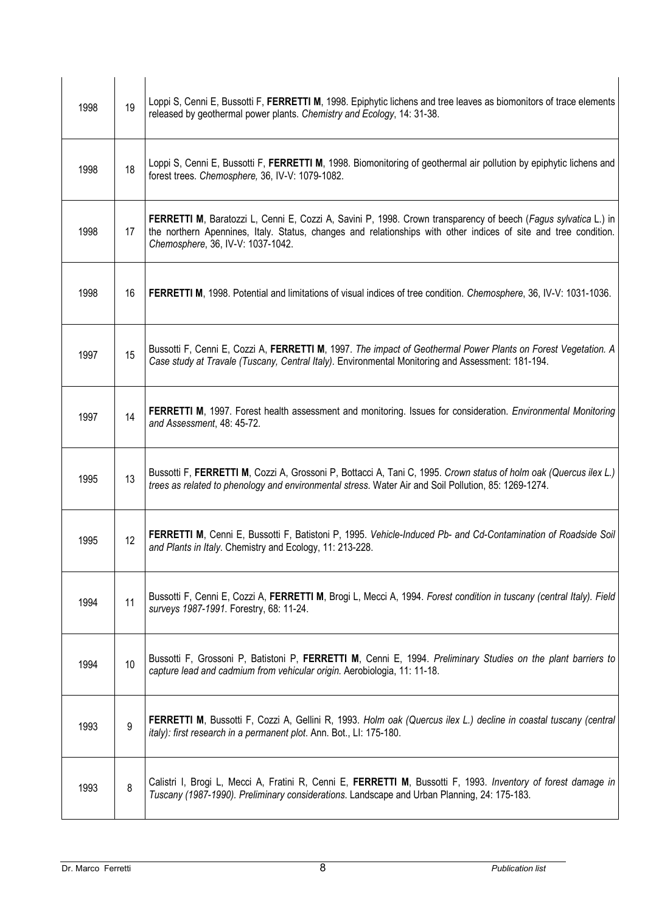| 1998 | 19 | Loppi S, Cenni E, Bussotti F, FERRETTI M, 1998. Epiphytic lichens and tree leaves as biomonitors of trace elements<br>released by geothermal power plants. Chemistry and Ecology, 14: 31-38.                                                                           |
|------|----|------------------------------------------------------------------------------------------------------------------------------------------------------------------------------------------------------------------------------------------------------------------------|
| 1998 | 18 | Loppi S, Cenni E, Bussotti F, FERRETTI M, 1998. Biomonitoring of geothermal air pollution by epiphytic lichens and<br>forest trees. Chemosphere, 36, IV-V: 1079-1082.                                                                                                  |
| 1998 | 17 | FERRETTI M, Baratozzi L, Cenni E, Cozzi A, Savini P, 1998. Crown transparency of beech (Fagus sylvatica L.) in<br>the northern Apennines, Italy. Status, changes and relationships with other indices of site and tree condition.<br>Chemosphere, 36, IV-V: 1037-1042. |
| 1998 | 16 | FERRETTI M, 1998. Potential and limitations of visual indices of tree condition. Chemosphere, 36, IV-V: 1031-1036.                                                                                                                                                     |
| 1997 | 15 | Bussotti F, Cenni E, Cozzi A, FERRETTI M, 1997. The impact of Geothermal Power Plants on Forest Vegetation. A<br>Case study at Travale (Tuscany, Central Italy). Environmental Monitoring and Assessment: 181-194.                                                     |
| 1997 | 14 | FERRETTI M, 1997. Forest health assessment and monitoring. Issues for consideration. Environmental Monitoring<br>and Assessment, 48: 45-72.                                                                                                                            |
| 1995 | 13 | Bussotti F, FERRETTI M, Cozzi A, Grossoni P, Bottacci A, Tani C, 1995. Crown status of holm oak (Quercus ilex L.)<br>trees as related to phenology and environmental stress. Water Air and Soil Pollution, 85: 1269-1274.                                              |
| 1995 | 12 | FERRETTI M, Cenni E, Bussotti F, Batistoni P, 1995. Vehicle-Induced Pb- and Cd-Contamination of Roadside Soil<br>and Plants in Italy. Chemistry and Ecology, 11: 213-228.                                                                                              |
| 1994 | 11 | Bussotti F, Cenni E, Cozzi A, FERRETTI M, Brogi L, Mecci A, 1994. Forest condition in tuscany (central Italy). Field<br>surveys 1987-1991. Forestry, 68: 11-24.                                                                                                        |
| 1994 | 10 | Bussotti F, Grossoni P, Batistoni P, FERRETTI M, Cenni E, 1994. Preliminary Studies on the plant barriers to<br>capture lead and cadmium from vehicular origin. Aerobiologia, 11: 11-18.                                                                               |
| 1993 | 9  | FERRETTI M, Bussotti F, Cozzi A, Gellini R, 1993. Holm oak (Quercus ilex L.) decline in coastal tuscany (central<br>italy): first research in a permanent plot. Ann. Bot., LI: 175-180.                                                                                |
| 1993 | 8  | Calistri I, Brogi L, Mecci A, Fratini R, Cenni E, FERRETTI M, Bussotti F, 1993. Inventory of forest damage in<br>Tuscany (1987-1990). Preliminary considerations. Landscape and Urban Planning, 24: 175-183.                                                           |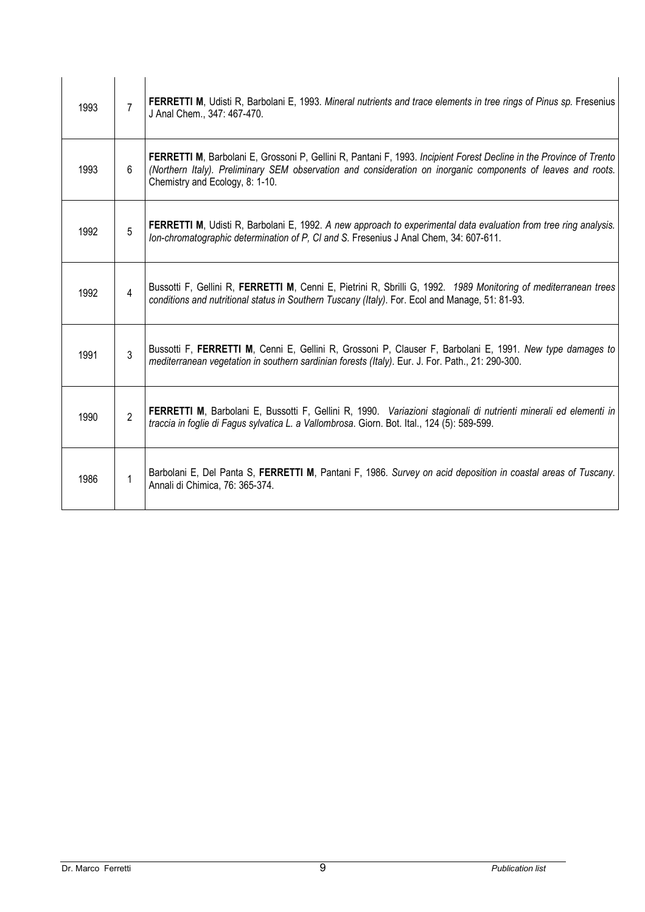| 1993 | 7              | <b>FERRETTI M</b> , Udisti R, Barbolani E, 1993. Mineral nutrients and trace elements in tree rings of Pinus sp. Fresenius<br>J Anal Chem., 347: 467-470.                                                                                                                      |
|------|----------------|--------------------------------------------------------------------------------------------------------------------------------------------------------------------------------------------------------------------------------------------------------------------------------|
| 1993 | 6              | <b>FERRETTI M</b> , Barbolani E, Grossoni P, Gellini R, Pantani F, 1993. Incipient Forest Decline in the Province of Trento<br>(Northern Italy). Preliminary SEM observation and consideration on inorganic components of leaves and roots.<br>Chemistry and Ecology, 8: 1-10. |
| 1992 | 5              | <b>FERRETTI M</b> , Udisti R, Barbolani E, 1992. A new approach to experimental data evaluation from tree ring analysis.<br>Ion-chromatographic determination of P, CI and S. Fresenius J Anal Chem, 34: 607-611.                                                              |
| 1992 | 4              | Bussotti F, Gellini R, FERRETTI M, Cenni E, Pietrini R, Sbrilli G, 1992. 1989 Monitoring of mediterranean trees<br>conditions and nutritional status in Southern Tuscany (Italy). For. Ecol and Manage, 51: 81-93.                                                             |
| 1991 | 3              | Bussotti F, FERRETTI M, Cenni E, Gellini R, Grossoni P, Clauser F, Barbolani E, 1991. New type damages to<br>mediterranean vegetation in southern sardinian forests (Italy). Eur. J. For. Path., 21: 290-300.                                                                  |
| 1990 | $\overline{2}$ | FERRETTI M, Barbolani E, Bussotti F, Gellini R, 1990. Variazioni stagionali di nutrienti minerali ed elementi in<br>traccia in foglie di Fagus sylvatica L. a Vallombrosa. Giorn. Bot. Ital., 124 (5): 589-599.                                                                |
| 1986 |                | Barbolani E, Del Panta S, FERRETTI M, Pantani F, 1986. Survey on acid deposition in coastal areas of Tuscany.<br>Annali di Chimica, 76: 365-374.                                                                                                                               |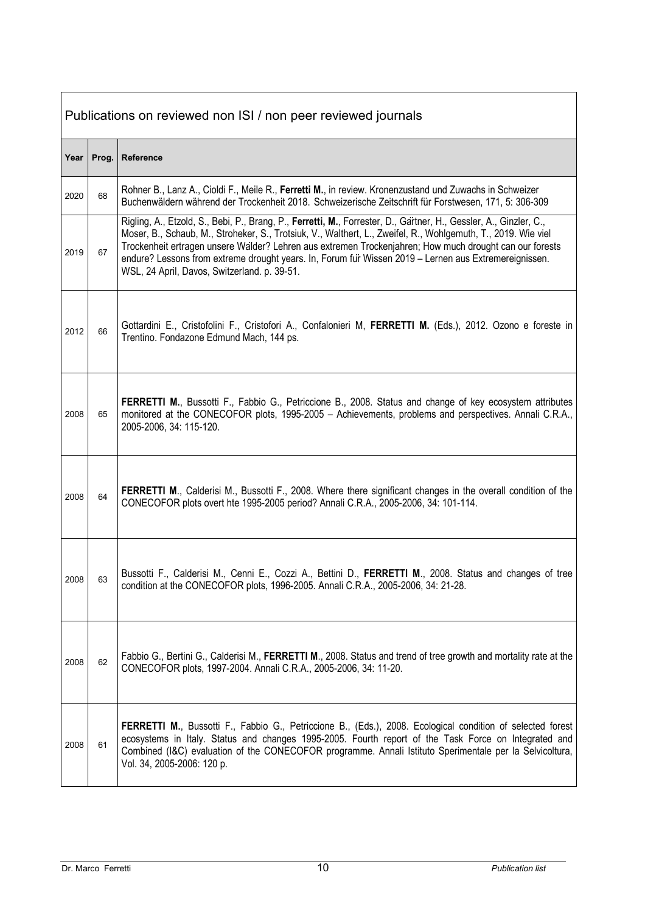|      | Publications on reviewed non ISI / non peer reviewed journals |                                                                                                                                                                                                                                                                                                                                                                                                                                                                                                        |  |
|------|---------------------------------------------------------------|--------------------------------------------------------------------------------------------------------------------------------------------------------------------------------------------------------------------------------------------------------------------------------------------------------------------------------------------------------------------------------------------------------------------------------------------------------------------------------------------------------|--|
| Year | Prog.                                                         | Reference                                                                                                                                                                                                                                                                                                                                                                                                                                                                                              |  |
| 2020 | 68                                                            | Rohner B., Lanz A., Cioldi F., Meile R., Ferretti M., in review. Kronenzustand und Zuwachs in Schweizer<br>Buchenwäldern während der Trockenheit 2018. Schweizerische Zeitschrift für Forstwesen, 171, 5: 306-309                                                                                                                                                                                                                                                                                      |  |
| 2019 | 67                                                            | Rigling, A., Etzold, S., Bebi, P., Brang, P., Ferretti, M., Forrester, D., Gartner, H., Gessler, A., Ginzler, C.,<br>Moser, B., Schaub, M., Stroheker, S., Trotsiuk, V., Walthert, L., Zweifel, R., Wohlgemuth, T., 2019. Wie viel<br>Trockenheit ertragen unsere Walder? Lehren aus extremen Trockenjahren; How much drought can our forests<br>endure? Lessons from extreme drought years. In, Forum fur Wissen 2019 - Lernen aus Extremereignissen.<br>WSL, 24 April, Davos, Switzerland. p. 39-51. |  |
| 2012 | 66                                                            | Gottardini E., Cristofolini F., Cristofori A., Confalonieri M, FERRETTI M. (Eds.), 2012. Ozono e foreste in<br>Trentino. Fondazone Edmund Mach, 144 ps.                                                                                                                                                                                                                                                                                                                                                |  |
| 2008 | 65                                                            | FERRETTI M., Bussotti F., Fabbio G., Petriccione B., 2008. Status and change of key ecosystem attributes<br>monitored at the CONECOFOR plots, 1995-2005 - Achievements, problems and perspectives. Annali C.R.A.,<br>2005-2006, 34: 115-120.                                                                                                                                                                                                                                                           |  |
| 2008 | 64                                                            | FERRETTI M., Calderisi M., Bussotti F., 2008. Where there significant changes in the overall condition of the<br>CONECOFOR plots overt hte 1995-2005 period? Annali C.R.A., 2005-2006, 34: 101-114.                                                                                                                                                                                                                                                                                                    |  |
| 2008 | 63                                                            | Bussotti F., Calderisi M., Cenni E., Cozzi A., Bettini D., FERRETTI M., 2008. Status and changes of tree<br>condition at the CONECOFOR plots, 1996-2005. Annali C.R.A., 2005-2006, 34: 21-28.                                                                                                                                                                                                                                                                                                          |  |
| 2008 | 62                                                            | Fabbio G., Bertini G., Calderisi M., FERRETTI M., 2008. Status and trend of tree growth and mortality rate at the<br>CONECOFOR plots, 1997-2004. Annali C.R.A., 2005-2006, 34: 11-20.                                                                                                                                                                                                                                                                                                                  |  |
| 2008 | 61                                                            | FERRETTI M., Bussotti F., Fabbio G., Petriccione B., (Eds.), 2008. Ecological condition of selected forest<br>ecosystems in Italy. Status and changes 1995-2005. Fourth report of the Task Force on Integrated and<br>Combined (I&C) evaluation of the CONECOFOR programme. Annali Istituto Sperimentale per la Selvicoltura,<br>Vol. 34, 2005-2006: 120 p.                                                                                                                                            |  |

**r**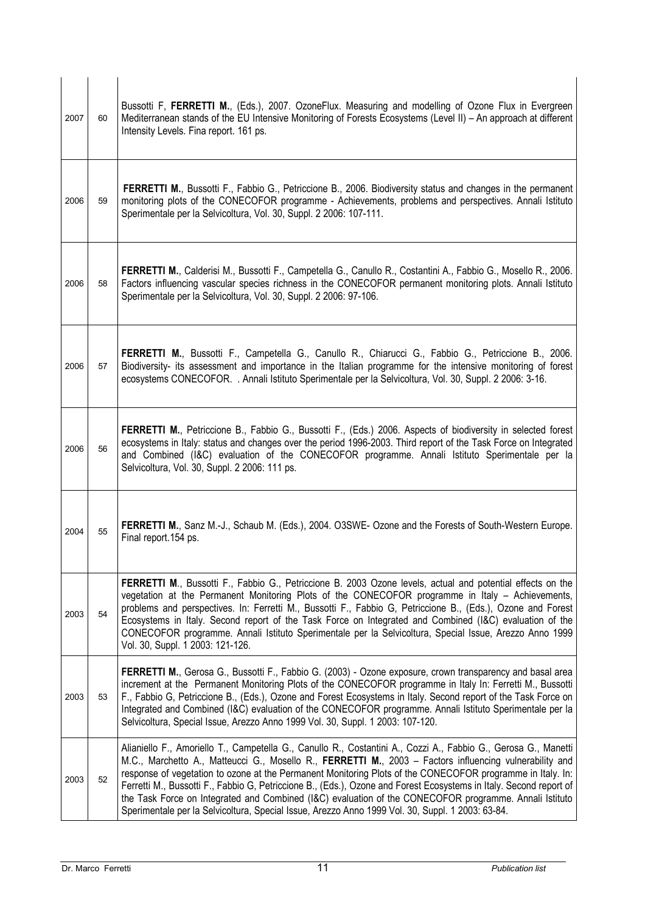| 2007 | 60 | Bussotti F, FERRETTI M., (Eds.), 2007. OzoneFlux. Measuring and modelling of Ozone Flux in Evergreen<br>Mediterranean stands of the EU Intensive Monitoring of Forests Ecosystems (Level II) - An approach at different<br>Intensity Levels. Fina report. 161 ps.                                                                                                                                                                                                                                                                                                                                                                                                           |
|------|----|-----------------------------------------------------------------------------------------------------------------------------------------------------------------------------------------------------------------------------------------------------------------------------------------------------------------------------------------------------------------------------------------------------------------------------------------------------------------------------------------------------------------------------------------------------------------------------------------------------------------------------------------------------------------------------|
| 2006 | 59 | FERRETTI M., Bussotti F., Fabbio G., Petriccione B., 2006. Biodiversity status and changes in the permanent<br>monitoring plots of the CONECOFOR programme - Achievements, problems and perspectives. Annali Istituto<br>Sperimentale per la Selvicoltura, Vol. 30, Suppl. 2 2006: 107-111.                                                                                                                                                                                                                                                                                                                                                                                 |
| 2006 | 58 | FERRETTI M., Calderisi M., Bussotti F., Campetella G., Canullo R., Costantini A., Fabbio G., Mosello R., 2006.<br>Factors influencing vascular species richness in the CONECOFOR permanent monitoring plots. Annali Istituto<br>Sperimentale per la Selvicoltura, Vol. 30, Suppl. 2 2006: 97-106.                                                                                                                                                                                                                                                                                                                                                                           |
| 2006 | 57 | FERRETTI M., Bussotti F., Campetella G., Canullo R., Chiarucci G., Fabbio G., Petriccione B., 2006.<br>Biodiversity- its assessment and importance in the Italian programme for the intensive monitoring of forest<br>ecosystems CONECOFOR. . Annali Istituto Sperimentale per la Selvicoltura, Vol. 30, Suppl. 2 2006: 3-16.                                                                                                                                                                                                                                                                                                                                               |
| 2006 | 56 | FERRETTI M., Petriccione B., Fabbio G., Bussotti F., (Eds.) 2006. Aspects of biodiversity in selected forest<br>ecosystems in Italy: status and changes over the period 1996-2003. Third report of the Task Force on Integrated<br>and Combined (I&C) evaluation of the CONECOFOR programme. Annali Istituto Sperimentale per la<br>Selvicoltura, Vol. 30, Suppl. 2 2006: 111 ps.                                                                                                                                                                                                                                                                                           |
| 2004 | 55 | FERRETTI M., Sanz M.-J., Schaub M. (Eds.), 2004. O3SWE- Ozone and the Forests of South-Western Europe.<br>Final report.154 ps.                                                                                                                                                                                                                                                                                                                                                                                                                                                                                                                                              |
| 2003 | 54 | FERRETTI M., Bussotti F., Fabbio G., Petriccione B. 2003 Ozone levels, actual and potential effects on the<br>vegetation at the Permanent Monitoring Plots of the CONECOFOR programme in Italy - Achievements,<br>problems and perspectives. In: Ferretti M., Bussotti F., Fabbio G, Petriccione B., (Eds.), Ozone and Forest<br>Ecosystems in Italy. Second report of the Task Force on Integrated and Combined (I&C) evaluation of the<br>CONECOFOR programme. Annali Istituto Sperimentale per la Selvicoltura, Special Issue, Arezzo Anno 1999<br>Vol. 30, Suppl. 1 2003: 121-126.                                                                                      |
| 2003 | 53 | FERRETTI M., Gerosa G., Bussotti F., Fabbio G. (2003) - Ozone exposure, crown transparency and basal area<br>increment at the Permanent Monitoring Plots of the CONECOFOR programme in Italy In: Ferretti M., Bussotti<br>F., Fabbio G, Petriccione B., (Eds.), Ozone and Forest Ecosystems in Italy. Second report of the Task Force on<br>Integrated and Combined (I&C) evaluation of the CONECOFOR programme. Annali Istituto Sperimentale per la<br>Selvicoltura, Special Issue, Arezzo Anno 1999 Vol. 30, Suppl. 1 2003: 107-120.                                                                                                                                      |
| 2003 | 52 | Alianiello F., Amoriello T., Campetella G., Canullo R., Costantini A., Cozzi A., Fabbio G., Gerosa G., Manetti<br>M.C., Marchetto A., Matteucci G., Mosello R., FERRETTI M., 2003 - Factors influencing vulnerability and<br>response of vegetation to ozone at the Permanent Monitoring Plots of the CONECOFOR programme in Italy. In:<br>Ferretti M., Bussotti F., Fabbio G, Petriccione B., (Eds.), Ozone and Forest Ecosystems in Italy. Second report of<br>the Task Force on Integrated and Combined (I&C) evaluation of the CONECOFOR programme. Annali Istituto<br>Sperimentale per la Selvicoltura, Special Issue, Arezzo Anno 1999 Vol. 30, Suppl. 1 2003: 63-84. |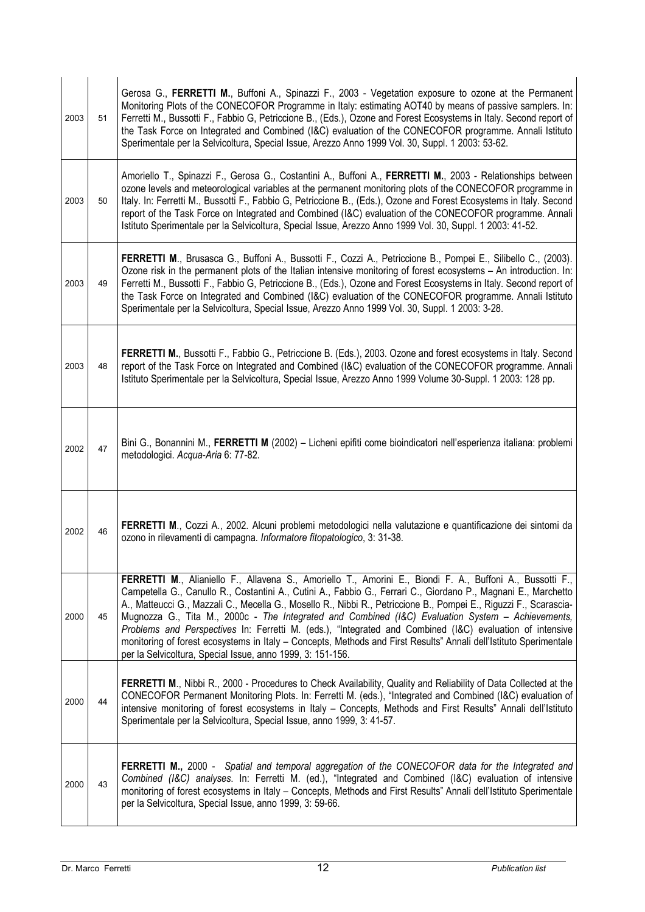| 2003 | 51 | Gerosa G., FERRETTI M., Buffoni A., Spinazzi F., 2003 - Vegetation exposure to ozone at the Permanent<br>Monitoring Plots of the CONECOFOR Programme in Italy: estimating AOT40 by means of passive samplers. In:<br>Ferretti M., Bussotti F., Fabbio G, Petriccione B., (Eds.), Ozone and Forest Ecosystems in Italy. Second report of<br>the Task Force on Integrated and Combined (I&C) evaluation of the CONECOFOR programme. Annali Istituto<br>Sperimentale per la Selvicoltura, Special Issue, Arezzo Anno 1999 Vol. 30, Suppl. 1 2003: 53-62.                                                                                                                                                                                                |
|------|----|------------------------------------------------------------------------------------------------------------------------------------------------------------------------------------------------------------------------------------------------------------------------------------------------------------------------------------------------------------------------------------------------------------------------------------------------------------------------------------------------------------------------------------------------------------------------------------------------------------------------------------------------------------------------------------------------------------------------------------------------------|
| 2003 | 50 | Amoriello T., Spinazzi F., Gerosa G., Costantini A., Buffoni A., FERRETTI M., 2003 - Relationships between<br>ozone levels and meteorological variables at the permanent monitoring plots of the CONECOFOR programme in<br>Italy. In: Ferretti M., Bussotti F., Fabbio G, Petriccione B., (Eds.), Ozone and Forest Ecosystems in Italy. Second<br>report of the Task Force on Integrated and Combined (I&C) evaluation of the CONECOFOR programme. Annali<br>Istituto Sperimentale per la Selvicoltura, Special Issue, Arezzo Anno 1999 Vol. 30, Suppl. 1 2003: 41-52.                                                                                                                                                                               |
| 2003 | 49 | FERRETTI M., Brusasca G., Buffoni A., Bussotti F., Cozzi A., Petriccione B., Pompei E., Silibello C., (2003).<br>Ozone risk in the permanent plots of the Italian intensive monitoring of forest ecosystems - An introduction. In:<br>Ferretti M., Bussotti F., Fabbio G, Petriccione B., (Eds.), Ozone and Forest Ecosystems in Italy. Second report of<br>the Task Force on Integrated and Combined (I&C) evaluation of the CONECOFOR programme. Annali Istituto<br>Sperimentale per la Selvicoltura, Special Issue, Arezzo Anno 1999 Vol. 30, Suppl. 1 2003: 3-28.                                                                                                                                                                                |
| 2003 | 48 | FERRETTI M., Bussotti F., Fabbio G., Petriccione B. (Eds.), 2003. Ozone and forest ecosystems in Italy. Second<br>report of the Task Force on Integrated and Combined (I&C) evaluation of the CONECOFOR programme. Annali<br>Istituto Sperimentale per la Selvicoltura, Special Issue, Arezzo Anno 1999 Volume 30-Suppl. 1 2003: 128 pp.                                                                                                                                                                                                                                                                                                                                                                                                             |
| 2002 | 47 | Bini G., Bonannini M., FERRETTI M (2002) - Licheni epifiti come bioindicatori nell'esperienza italiana: problemi<br>metodologici. Acqua-Aria 6: 77-82.                                                                                                                                                                                                                                                                                                                                                                                                                                                                                                                                                                                               |
| 2002 | 46 | FERRETTI M., Cozzi A., 2002. Alcuni problemi metodologici nella valutazione e quantificazione dei sintomi da<br>ozono in rilevamenti di campagna. Informatore fitopatologico, 3: 31-38.                                                                                                                                                                                                                                                                                                                                                                                                                                                                                                                                                              |
| 2000 | 45 | FERRETTI M., Alianiello F., Allavena S., Amoriello T., Amorini E., Biondi F. A., Buffoni A., Bussotti F.,<br>Campetella G., Canullo R., Costantini A., Cutini A., Fabbio G., Ferrari C., Giordano P., Magnani E., Marchetto<br>A., Matteucci G., Mazzali C., Mecella G., Mosello R., Nibbi R., Petriccione B., Pompei E., Riguzzi F., Scarascia-<br>Mugnozza G., Tita M., 2000c - The Integrated and Combined (I&C) Evaluation System - Achievements,<br>Problems and Perspectives In: Ferretti M. (eds.), "Integrated and Combined (I&C) evaluation of intensive<br>monitoring of forest ecosystems in Italy - Concepts, Methods and First Results" Annali dell'Istituto Sperimentale<br>per la Selvicoltura, Special Issue, anno 1999, 3: 151-156. |
| 2000 | 44 | FERRETTI M., Nibbi R., 2000 - Procedures to Check Availability, Quality and Reliability of Data Collected at the<br>CONECOFOR Permanent Monitoring Plots. In: Ferretti M. (eds.), "Integrated and Combined (I&C) evaluation of<br>intensive monitoring of forest ecosystems in Italy - Concepts, Methods and First Results" Annali dell'Istituto<br>Sperimentale per la Selvicoltura, Special Issue, anno 1999, 3: 41-57.                                                                                                                                                                                                                                                                                                                            |
| 2000 | 43 | FERRETTI M., 2000 - Spatial and temporal aggregation of the CONECOFOR data for the Integrated and<br>Combined (I&C) analyses. In: Ferretti M. (ed.), "Integrated and Combined (I&C) evaluation of intensive<br>monitoring of forest ecosystems in Italy - Concepts, Methods and First Results" Annali dell'Istituto Sperimentale<br>per la Selvicoltura, Special Issue, anno 1999, 3: 59-66.                                                                                                                                                                                                                                                                                                                                                         |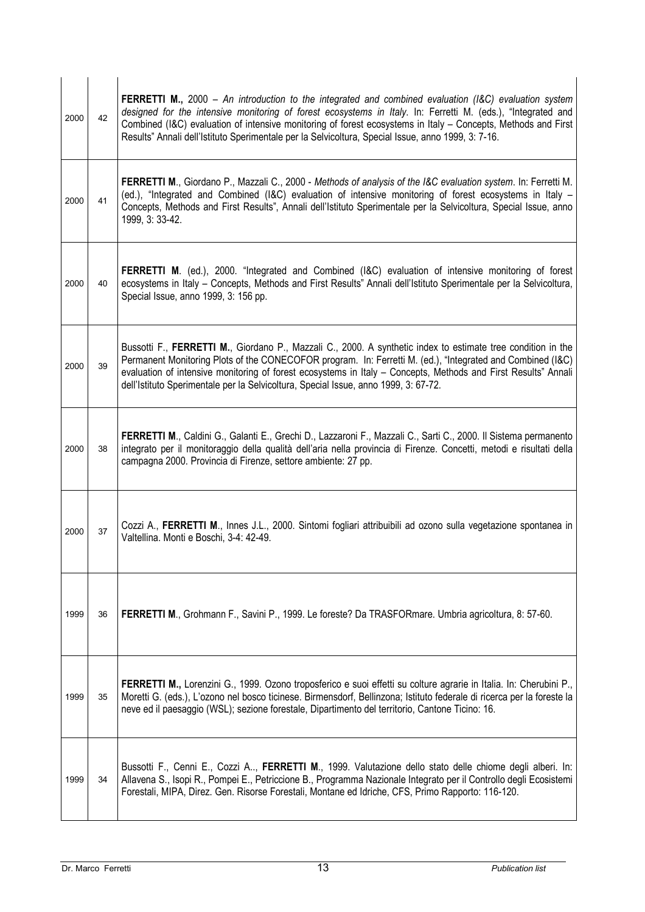| 2000 | 42 | FERRETTI M., 2000 - An introduction to the integrated and combined evaluation (I&C) evaluation system<br>designed for the intensive monitoring of forest ecosystems in Italy. In: Ferretti M. (eds.), "Integrated and<br>Combined (I&C) evaluation of intensive monitoring of forest ecosystems in Italy - Concepts, Methods and First<br>Results" Annali dell'Istituto Sperimentale per la Selvicoltura, Special Issue, anno 1999, 3: 7-16. |
|------|----|----------------------------------------------------------------------------------------------------------------------------------------------------------------------------------------------------------------------------------------------------------------------------------------------------------------------------------------------------------------------------------------------------------------------------------------------|
| 2000 | 41 | <b>FERRETTI M., Giordano P., Mazzali C., 2000 - Methods of analysis of the I&amp;C evaluation system. In: Ferretti M.</b><br>(ed.), "Integrated and Combined (I&C) evaluation of intensive monitoring of forest ecosystems in Italy -<br>Concepts, Methods and First Results", Annali dell'Istituto Sperimentale per la Selvicoltura, Special Issue, anno<br>1999, 3: 33-42.                                                                 |
| 2000 | 40 | FERRETTI M. (ed.), 2000. "Integrated and Combined (I&C) evaluation of intensive monitoring of forest<br>ecosystems in Italy - Concepts, Methods and First Results" Annali dell'Istituto Sperimentale per la Selvicoltura,<br>Special Issue, anno 1999, 3: 156 pp.                                                                                                                                                                            |
| 2000 | 39 | Bussotti F., FERRETTI M., Giordano P., Mazzali C., 2000. A synthetic index to estimate tree condition in the<br>Permanent Monitoring Plots of the CONECOFOR program. In: Ferretti M. (ed.), "Integrated and Combined (I&C)<br>evaluation of intensive monitoring of forest ecosystems in Italy - Concepts, Methods and First Results" Annali<br>dell'Istituto Sperimentale per la Selvicoltura, Special Issue, anno 1999, 3: 67-72.          |
| 2000 | 38 | FERRETTI M., Caldini G., Galanti E., Grechi D., Lazzaroni F., Mazzali C., Sarti C., 2000. Il Sistema permanento<br>integrato per il monitoraggio della qualità dell'aria nella provincia di Firenze. Concetti, metodi e risultati della<br>campagna 2000. Provincia di Firenze, settore ambiente: 27 pp.                                                                                                                                     |
| 2000 | 37 | Cozzi A., FERRETTI M., Innes J.L., 2000. Sintomi fogliari attribuibili ad ozono sulla vegetazione spontanea in<br>Valtellina. Monti e Boschi, 3-4: 42-49.                                                                                                                                                                                                                                                                                    |
| 1999 | 36 | FERRETTI M., Grohmann F., Savini P., 1999. Le foreste? Da TRASFORmare. Umbria agricoltura, 8: 57-60.                                                                                                                                                                                                                                                                                                                                         |
| 1999 | 35 | FERRETTI M., Lorenzini G., 1999. Ozono troposferico e suoi effetti su colture agrarie in Italia. In: Cherubini P.,<br>Moretti G. (eds.), L'ozono nel bosco ticinese. Birmensdorf, Bellinzona; Istituto federale di ricerca per la foreste la<br>neve ed il paesaggio (WSL); sezione forestale, Dipartimento del territorio, Cantone Ticino: 16.                                                                                              |
| 1999 | 34 | Bussotti F., Cenni E., Cozzi A, FERRETTI M., 1999. Valutazione dello stato delle chiome degli alberi. In:<br>Allavena S., Isopi R., Pompei E., Petriccione B., Programma Nazionale Integrato per il Controllo degli Ecosistemi<br>Forestali, MIPA, Direz. Gen. Risorse Forestali, Montane ed Idriche, CFS, Primo Rapporto: 116-120.                                                                                                          |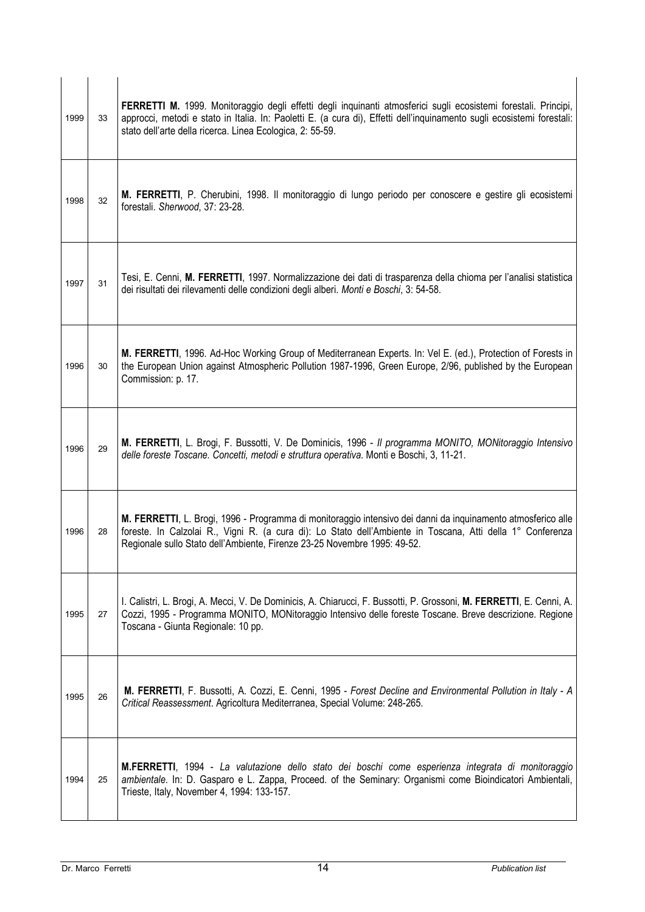| 1999 | 33 | FERRETTI M. 1999. Monitoraggio degli effetti degli inquinanti atmosferici sugli ecosistemi forestali. Principi,<br>approcci, metodi e stato in Italia. In: Paoletti E. (a cura di), Effetti dell'inquinamento sugli ecosistemi forestali:<br>stato dell'arte della ricerca. Linea Ecologica, 2: 55-59. |
|------|----|--------------------------------------------------------------------------------------------------------------------------------------------------------------------------------------------------------------------------------------------------------------------------------------------------------|
| 1998 | 32 | M. FERRETTI, P. Cherubini, 1998. Il monitoraggio di lungo periodo per conoscere e gestire gli ecosistemi<br>forestali. Sherwood, 37: 23-28.                                                                                                                                                            |
| 1997 | 31 | Tesi, E. Cenni, M. FERRETTI, 1997. Normalizzazione dei dati di trasparenza della chioma per l'analisi statistica<br>dei risultati dei rilevamenti delle condizioni degli alberi. Monti e Boschi, 3: 54-58.                                                                                             |
| 1996 | 30 | M. FERRETTI, 1996. Ad-Hoc Working Group of Mediterranean Experts. In: Vel E. (ed.), Protection of Forests in<br>the European Union against Atmospheric Pollution 1987-1996, Green Europe, 2/96, published by the European<br>Commission: p. 17.                                                        |
| 1996 | 29 | M. FERRETTI, L. Brogi, F. Bussotti, V. De Dominicis, 1996 - Il programma MONITO, MONitoraggio Intensivo<br>delle foreste Toscane. Concetti, metodi e struttura operativa. Monti e Boschi, 3, 11-21.                                                                                                    |
| 1996 | 28 | M. FERRETTI, L. Brogi, 1996 - Programma di monitoraggio intensivo dei danni da inquinamento atmosferico alle<br>foreste. In Calzolai R., Vigni R. (a cura di): Lo Stato dell'Ambiente in Toscana, Atti della 1° Conferenza<br>Regionale sullo Stato dell'Ambiente, Firenze 23-25 Novembre 1995: 49-52. |
| 1995 | 27 | I. Calistri, L. Brogi, A. Mecci, V. De Dominicis, A. Chiarucci, F. Bussotti, P. Grossoni, M. FERRETTI, E. Cenni, A.<br>Cozzi, 1995 - Programma MONITO, MONitoraggio Intensivo delle foreste Toscane. Breve descrizione. Regione<br>Toscana - Giunta Regionale: 10 pp.                                  |
| 1995 | 26 | M. FERRETTI, F. Bussotti, A. Cozzi, E. Cenni, 1995 - Forest Decline and Environmental Pollution in Italy - A<br>Critical Reassessment. Agricoltura Mediterranea, Special Volume: 248-265.                                                                                                              |
| 1994 | 25 | M.FERRETTI, 1994 - La valutazione dello stato dei boschi come esperienza integrata di monitoraggio<br>ambientale. In: D. Gasparo e L. Zappa, Proceed. of the Seminary: Organismi come Bioindicatori Ambientali,<br>Trieste, Italy, November 4, 1994: 133-157.                                          |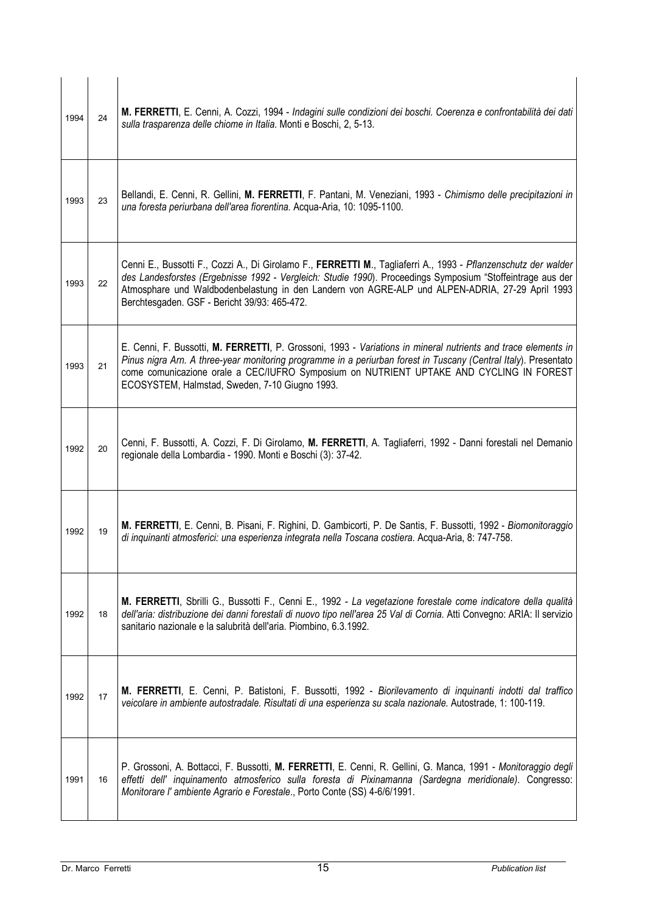| 1994 | 24 | M. FERRETTI, E. Cenni, A. Cozzi, 1994 - Indagini sulle condizioni dei boschi. Coerenza e confrontabilità dei dati<br>sulla trasparenza delle chiome in Italia. Monti e Boschi, 2, 5-13.                                                                                                                                                                                         |
|------|----|---------------------------------------------------------------------------------------------------------------------------------------------------------------------------------------------------------------------------------------------------------------------------------------------------------------------------------------------------------------------------------|
| 1993 | 23 | Bellandi, E. Cenni, R. Gellini, M. FERRETTI, F. Pantani, M. Veneziani, 1993 - Chimismo delle precipitazioni in<br>una foresta periurbana dell'area fiorentina. Acqua-Aria, 10: 1095-1100.                                                                                                                                                                                       |
| 1993 | 22 | Cenni E., Bussotti F., Cozzi A., Di Girolamo F., FERRETTI M., Tagliaferri A., 1993 - Pflanzenschutz der walder<br>des Landesforstes (Ergebnisse 1992 - Vergleich: Studie 1990). Proceedings Symposium "Stoffeintrage aus der<br>Atmosphare und Waldbodenbelastung in den Landern von AGRE-ALP und ALPEN-ADRIA, 27-29 April 1993<br>Berchtesgaden. GSF - Bericht 39/93: 465-472. |
| 1993 | 21 | E. Cenni, F. Bussotti, M. FERRETTI, P. Grossoni, 1993 - Variations in mineral nutrients and trace elements in<br>Pinus nigra Arn. A three-year monitoring programme in a periurban forest in Tuscany (Central Italy). Presentato<br>come comunicazione orale a CEC/IUFRO Symposium on NUTRIENT UPTAKE AND CYCLING IN FOREST<br>ECOSYSTEM, Halmstad, Sweden, 7-10 Giugno 1993.   |
| 1992 | 20 | Cenni, F. Bussotti, A. Cozzi, F. Di Girolamo, M. FERRETTI, A. Tagliaferri, 1992 - Danni forestali nel Demanio<br>regionale della Lombardia - 1990. Monti e Boschi (3): 37-42.                                                                                                                                                                                                   |
| 1992 | 19 | M. FERRETTI, E. Cenni, B. Pisani, F. Righini, D. Gambicorti, P. De Santis, F. Bussotti, 1992 - Biomonitoraggio<br>di inquinanti atmosferici: una esperienza integrata nella Toscana costiera. Acqua-Aria, 8: 747-758.                                                                                                                                                           |
| 1992 | 18 | M. FERRETTI, Sbrilli G., Bussotti F., Cenni E., 1992 - La vegetazione forestale come indicatore della qualità<br>dell'aria: distribuzione dei danni forestali di nuovo tipo nell'area 25 Val di Cornia. Atti Convegno: ARIA: Il servizio<br>sanitario nazionale e la salubrità dell'aria. Piombino, 6.3.1992.                                                                   |
| 1992 | 17 | M. FERRETTI, E. Cenni, P. Batistoni, F. Bussotti, 1992 - Biorilevamento di inquinanti indotti dal traffico<br>veicolare in ambiente autostradale. Risultati di una esperienza su scala nazionale. Autostrade, 1: 100-119.                                                                                                                                                       |
| 1991 | 16 | P. Grossoni, A. Bottacci, F. Bussotti, M. FERRETTI, E. Cenni, R. Gellini, G. Manca, 1991 - Monitoraggio degli<br>effetti dell' inquinamento atmosferico sulla foresta di Pixinamanna (Sardegna meridionale). Congresso:<br>Monitorare l' ambiente Agrario e Forestale., Porto Conte (SS) 4-6/6/1991.                                                                            |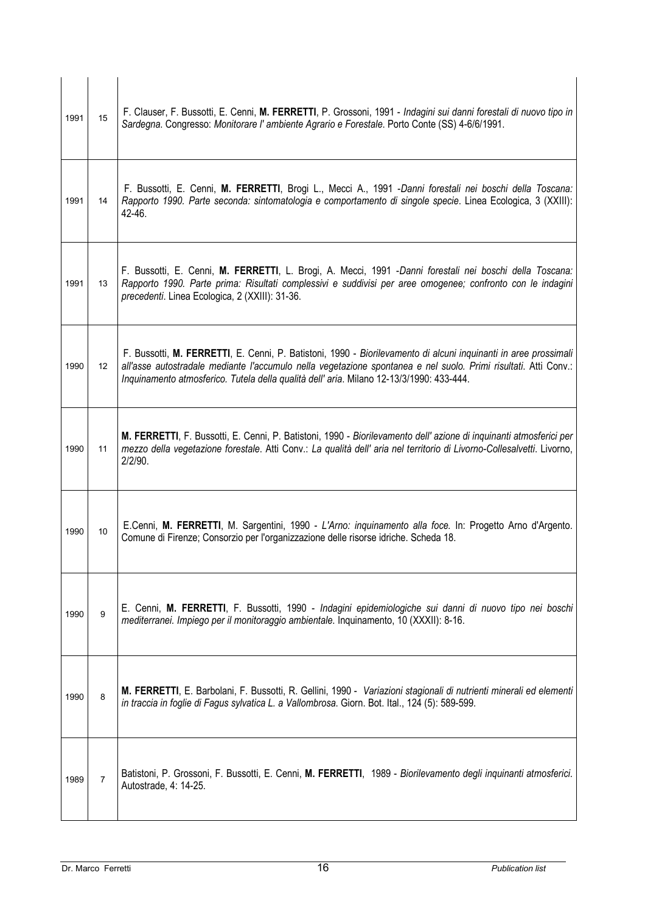| 1991 | 15                | F. Clauser, F. Bussotti, E. Cenni, M. FERRETTI, P. Grossoni, 1991 - Indagini sui danni forestali di nuovo tipo in<br>Sardegna. Congresso: Monitorare l'ambiente Agrario e Forestale. Porto Conte (SS) 4-6/6/1991.                                                                                                             |
|------|-------------------|-------------------------------------------------------------------------------------------------------------------------------------------------------------------------------------------------------------------------------------------------------------------------------------------------------------------------------|
| 1991 | 14                | F. Bussotti, E. Cenni, M. FERRETTI, Brogi L., Mecci A., 1991 -Danni forestali nei boschi della Toscana:<br>Rapporto 1990. Parte seconda: sintomatologia e comportamento di singole specie. Linea Ecologica, 3 (XXIII):<br>42-46.                                                                                              |
| 1991 | 13                | F. Bussotti, E. Cenni, M. FERRETTI, L. Brogi, A. Mecci, 1991 - Danni forestali nei boschi della Toscana:<br>Rapporto 1990. Parte prima: Risultati complessivi e suddivisi per aree omogenee; confronto con le indagini<br>precedenti. Linea Ecologica, 2 (XXIII): 31-36.                                                      |
| 1990 | $12 \overline{ }$ | F. Bussotti, M. FERRETTI, E. Cenni, P. Batistoni, 1990 - Biorilevamento di alcuni inquinanti in aree prossimali<br>all'asse autostradale mediante l'accumulo nella vegetazione spontanea e nel suolo. Primi risultati. Atti Conv.:<br>Inquinamento atmosferico. Tutela della qualità dell'aria. Milano 12-13/3/1990: 433-444. |
| 1990 | 11                | M. FERRETTI, F. Bussotti, E. Cenni, P. Batistoni, 1990 - Biorilevamento dell'azione di inquinanti atmosferici per<br>mezzo della vegetazione forestale. Atti Conv.: La qualità dell' aria nel territorio di Livorno-Collesalvetti. Livorno,<br>2/2/90.                                                                        |
| 1990 | $10$              | E.Cenni, M. FERRETTI, M. Sargentini, 1990 - L'Arno: inquinamento alla foce. In: Progetto Arno d'Argento.<br>Comune di Firenze; Consorzio per l'organizzazione delle risorse idriche. Scheda 18.                                                                                                                               |
| 1990 | $\boldsymbol{9}$  | E. Cenni, M. FERRETTI, F. Bussotti, 1990 - Indagini epidemiologiche sui danni di nuovo tipo nei boschi<br>mediterranei. Impiego per il monitoraggio ambientale. Inquinamento, 10 (XXXII): 8-16.                                                                                                                               |
| 1990 | $\bf8$            | M. FERRETTI, E. Barbolani, F. Bussotti, R. Gellini, 1990 - Variazioni stagionali di nutrienti minerali ed elementi<br>in traccia in foglie di Fagus sylvatica L. a Vallombrosa. Giorn. Bot. Ital., 124 (5): 589-599.                                                                                                          |
| 1989 | $\overline{7}$    | Batistoni, P. Grossoni, F. Bussotti, E. Cenni, M. FERRETTI, 1989 - Biorilevamento degli inquinanti atmosferici.<br>Autostrade, 4: 14-25.                                                                                                                                                                                      |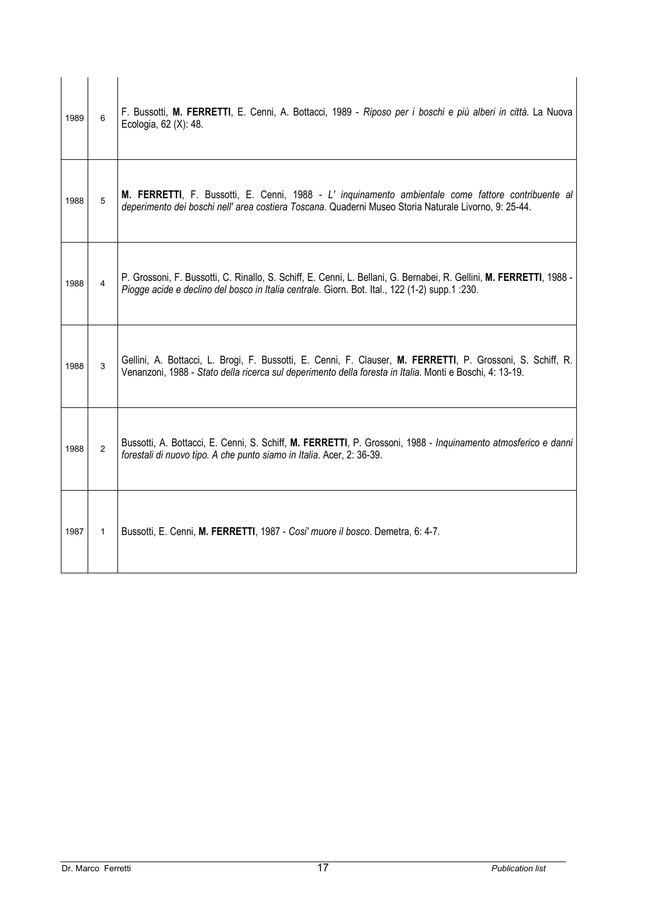| 1989 | 6               | F. Bussotti, M. FERRETTI, E. Cenni, A. Bottacci, 1989 - Riposo per i boschi e più alberi in città. La Nuova<br>Ecologia, 62 (X): 48.                                                                                   |
|------|-----------------|------------------------------------------------------------------------------------------------------------------------------------------------------------------------------------------------------------------------|
| 1988 | $5\overline{)}$ | M. FERRETTI, F. Bussotti, E. Cenni, 1988 - L' inquinamento ambientale come fattore contribuente al<br>deperimento dei boschi nell' area costiera Toscana. Quaderni Museo Storia Naturale Livorno, 9: 25-44.            |
| 1988 | $\overline{4}$  | P. Grossoni, F. Bussotti, C. Rinallo, S. Schiff, E. Cenni, L. Bellani, G. Bernabei, R. Gellini, M. FERRETTI, 1988 -<br>Piogge acide e declino del bosco in Italia centrale. Giorn. Bot. Ital., 122 (1-2) supp.1 :230.  |
| 1988 | 3               | Gellini, A. Bottacci, L. Brogi, F. Bussotti, E. Cenni, F. Clauser, M. FERRETTI, P. Grossoni, S. Schiff, R.<br>Venanzoni, 1988 - Stato della ricerca sul deperimento della foresta in Italia. Monti e Boschi, 4: 13-19. |
| 1988 | $\overline{2}$  | Bussotti, A. Bottacci, E. Cenni, S. Schiff, M. FERRETTI, P. Grossoni, 1988 - Inquinamento atmosferico e danni<br>forestali di nuovo tipo. A che punto siamo in Italia. Acer, 2: 36-39.                                 |
| 1987 | $\mathbf{1}$    | Bussotti, E. Cenni, M. FERRETTI, 1987 - Cosi' muore il bosco. Demetra, 6: 4-7.                                                                                                                                         |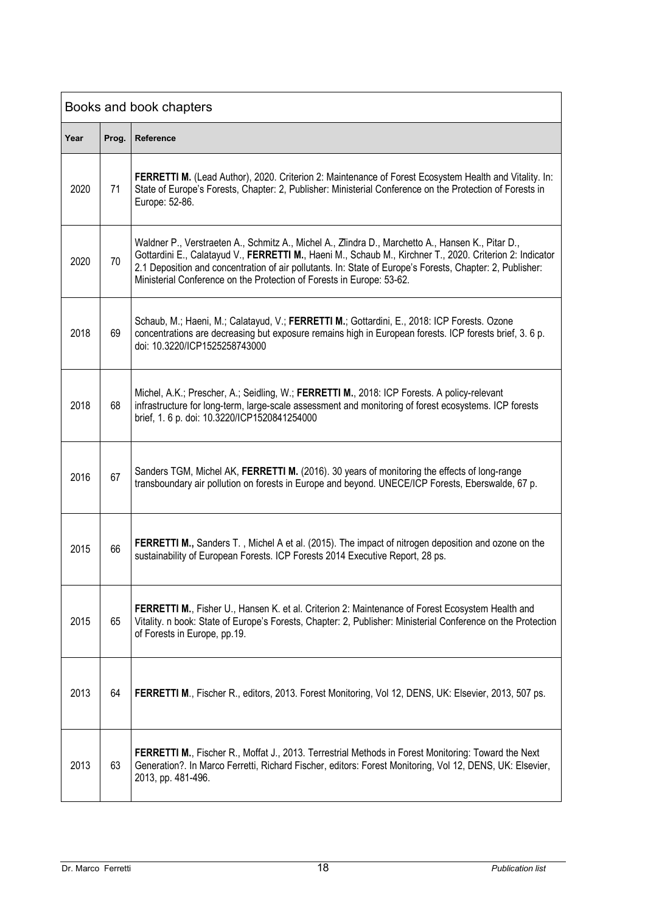| Books and book chapters |       |                                                                                                                                                                                                                                                                                                                                                                                                     |  |  |
|-------------------------|-------|-----------------------------------------------------------------------------------------------------------------------------------------------------------------------------------------------------------------------------------------------------------------------------------------------------------------------------------------------------------------------------------------------------|--|--|
| Year                    | Prog. | Reference                                                                                                                                                                                                                                                                                                                                                                                           |  |  |
| 2020                    | 71    | FERRETTI M. (Lead Author), 2020. Criterion 2: Maintenance of Forest Ecosystem Health and Vitality. In:<br>State of Europe's Forests, Chapter: 2, Publisher: Ministerial Conference on the Protection of Forests in<br>Europe: 52-86.                                                                                                                                                                |  |  |
| 2020                    | 70    | Waldner P., Verstraeten A., Schmitz A., Michel A., Zlindra D., Marchetto A., Hansen K., Pitar D.,<br>Gottardini E., Calatayud V., FERRETTI M., Haeni M., Schaub M., Kirchner T., 2020. Criterion 2: Indicator<br>2.1 Deposition and concentration of air pollutants. In: State of Europe's Forests, Chapter: 2, Publisher:<br>Ministerial Conference on the Protection of Forests in Europe: 53-62. |  |  |
| 2018                    | 69    | Schaub, M.; Haeni, M.; Calatayud, V.; FERRETTI M.; Gottardini, E., 2018: ICP Forests. Ozone<br>concentrations are decreasing but exposure remains high in European forests. ICP forests brief, 3. 6 p.<br>doi: 10.3220/ICP1525258743000                                                                                                                                                             |  |  |
| 2018                    | 68    | Michel, A.K.; Prescher, A.; Seidling, W.; FERRETTI M., 2018: ICP Forests. A policy-relevant<br>infrastructure for long-term, large-scale assessment and monitoring of forest ecosystems. ICP forests<br>brief, 1. 6 p. doi: 10.3220/ICP1520841254000                                                                                                                                                |  |  |
| 2016                    | 67    | Sanders TGM, Michel AK, FERRETTI M. (2016). 30 years of monitoring the effects of long-range<br>transboundary air pollution on forests in Europe and beyond. UNECE/ICP Forests, Eberswalde, 67 p.                                                                                                                                                                                                   |  |  |
| 2015                    | 66    | FERRETTI M., Sanders T., Michel A et al. (2015). The impact of nitrogen deposition and ozone on the<br>sustainability of European Forests. ICP Forests 2014 Executive Report, 28 ps.                                                                                                                                                                                                                |  |  |
| 2015                    | 65    | FERRETTI M., Fisher U., Hansen K. et al. Criterion 2: Maintenance of Forest Ecosystem Health and<br>Vitality. n book: State of Europe's Forests, Chapter: 2, Publisher: Ministerial Conference on the Protection<br>of Forests in Europe, pp.19.                                                                                                                                                    |  |  |
| 2013                    | 64    | FERRETTI M., Fischer R., editors, 2013. Forest Monitoring, Vol 12, DENS, UK: Elsevier, 2013, 507 ps.                                                                                                                                                                                                                                                                                                |  |  |
| 2013                    | 63    | FERRETTI M., Fischer R., Moffat J., 2013. Terrestrial Methods in Forest Monitoring: Toward the Next<br>Generation?. In Marco Ferretti, Richard Fischer, editors: Forest Monitoring, Vol 12, DENS, UK: Elsevier,<br>2013, pp. 481-496.                                                                                                                                                               |  |  |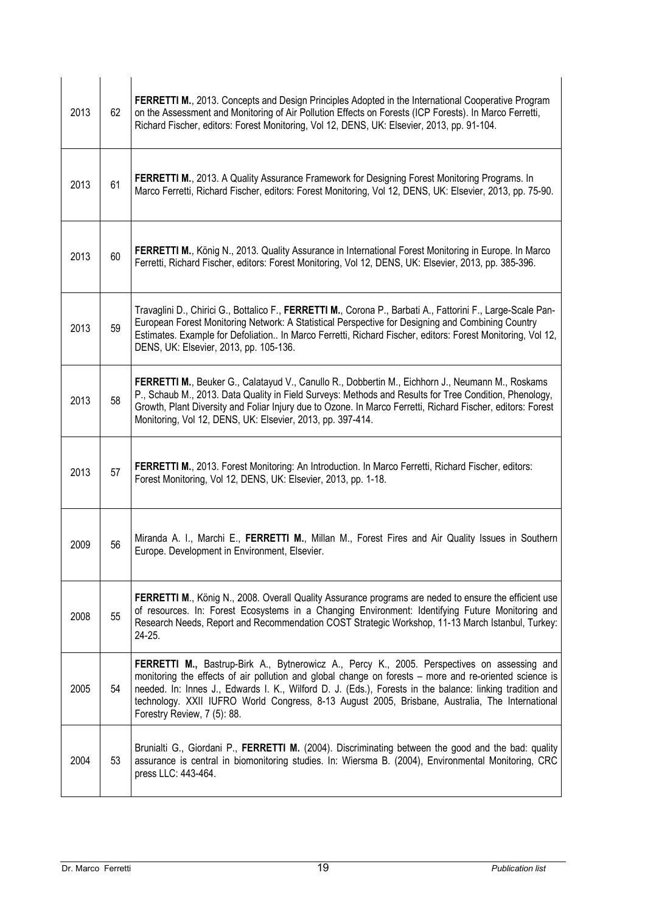| 2013 | 62 | FERRETTI M., 2013. Concepts and Design Principles Adopted in the International Cooperative Program<br>on the Assessment and Monitoring of Air Pollution Effects on Forests (ICP Forests). In Marco Ferretti,<br>Richard Fischer, editors: Forest Monitoring, Vol 12, DENS, UK: Elsevier, 2013, pp. 91-104.                                                                                                                                          |
|------|----|-----------------------------------------------------------------------------------------------------------------------------------------------------------------------------------------------------------------------------------------------------------------------------------------------------------------------------------------------------------------------------------------------------------------------------------------------------|
| 2013 | 61 | FERRETTI M., 2013. A Quality Assurance Framework for Designing Forest Monitoring Programs. In<br>Marco Ferretti, Richard Fischer, editors: Forest Monitoring, Vol 12, DENS, UK: Elsevier, 2013, pp. 75-90.                                                                                                                                                                                                                                          |
| 2013 | 60 | FERRETTI M., König N., 2013. Quality Assurance in International Forest Monitoring in Europe. In Marco<br>Ferretti, Richard Fischer, editors: Forest Monitoring, Vol 12, DENS, UK: Elsevier, 2013, pp. 385-396.                                                                                                                                                                                                                                      |
| 2013 | 59 | Travaglini D., Chirici G., Bottalico F., FERRETTI M., Corona P., Barbati A., Fattorini F., Large-Scale Pan-<br>European Forest Monitoring Network: A Statistical Perspective for Designing and Combining Country<br>Estimates. Example for Defoliation In Marco Ferretti, Richard Fischer, editors: Forest Monitoring, Vol 12,<br>DENS, UK: Elsevier, 2013, pp. 105-136.                                                                            |
| 2013 | 58 | FERRETTI M., Beuker G., Calatayud V., Canullo R., Dobbertin M., Eichhorn J., Neumann M., Roskams<br>P., Schaub M., 2013. Data Quality in Field Surveys: Methods and Results for Tree Condition, Phenology,<br>Growth, Plant Diversity and Foliar Injury due to Ozone. In Marco Ferretti, Richard Fischer, editors: Forest<br>Monitoring, Vol 12, DENS, UK: Elsevier, 2013, pp. 397-414.                                                             |
| 2013 | 57 | FERRETTI M., 2013. Forest Monitoring: An Introduction. In Marco Ferretti, Richard Fischer, editors:<br>Forest Monitoring, Vol 12, DENS, UK: Elsevier, 2013, pp. 1-18.                                                                                                                                                                                                                                                                               |
| 2009 | 56 | Miranda A. I., Marchi E., FERRETTI M., Millan M., Forest Fires and Air Quality Issues in Southern<br>Europe. Development in Environment, Elsevier.                                                                                                                                                                                                                                                                                                  |
| 2008 | 55 | FERRETTI M., König N., 2008. Overall Quality Assurance programs are neded to ensure the efficient use<br>of resources. In: Forest Ecosystems in a Changing Environment: Identifying Future Monitoring and<br>Research Needs, Report and Recommendation COST Strategic Workshop, 11-13 March Istanbul, Turkey:<br>24-25.                                                                                                                             |
| 2005 | 54 | FERRETTI M., Bastrup-Birk A., Bytnerowicz A., Percy K., 2005. Perspectives on assessing and<br>monitoring the effects of air pollution and global change on forests – more and re-oriented science is<br>needed. In: Innes J., Edwards I. K., Wilford D. J. (Eds.), Forests in the balance: linking tradition and<br>technology. XXII IUFRO World Congress, 8-13 August 2005, Brisbane, Australia, The International<br>Forestry Review, 7 (5): 88. |
| 2004 | 53 | Brunialti G., Giordani P., FERRETTI M. (2004). Discriminating between the good and the bad: quality<br>assurance is central in biomonitoring studies. In: Wiersma B. (2004), Environmental Monitoring, CRC<br>press LLC: 443-464.                                                                                                                                                                                                                   |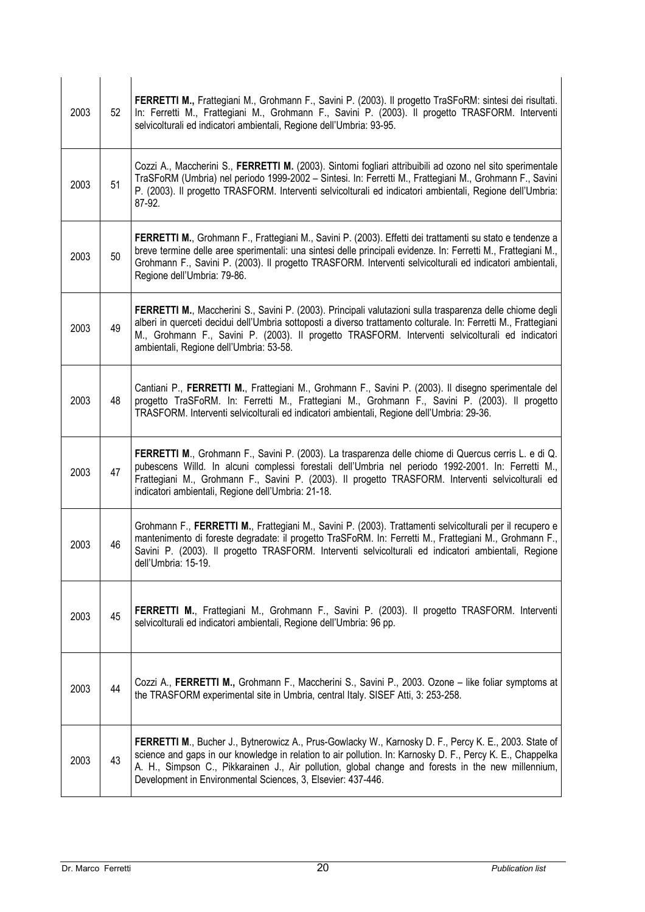| 2003 | 52 | FERRETTI M., Frattegiani M., Grohmann F., Savini P. (2003). Il progetto TraSFoRM: sintesi dei risultati.<br>In: Ferretti M., Frattegiani M., Grohmann F., Savini P. (2003). Il progetto TRASFORM. Interventi<br>selvicolturali ed indicatori ambientali, Regione dell'Umbria: 93-95.                                                                                                      |
|------|----|-------------------------------------------------------------------------------------------------------------------------------------------------------------------------------------------------------------------------------------------------------------------------------------------------------------------------------------------------------------------------------------------|
| 2003 | 51 | Cozzi A., Maccherini S., FERRETTI M. (2003). Sintomi fogliari attribuibili ad ozono nel sito sperimentale<br>TraSFoRM (Umbria) nel periodo 1999-2002 - Sintesi. In: Ferretti M., Frattegiani M., Grohmann F., Savini<br>P. (2003). Il progetto TRASFORM. Interventi selvicolturali ed indicatori ambientali, Regione dell'Umbria:<br>87-92.                                               |
| 2003 | 50 | FERRETTI M., Grohmann F., Frattegiani M., Savini P. (2003). Effetti dei trattamenti su stato e tendenze a<br>breve termine delle aree sperimentali: una sintesi delle principali evidenze. In: Ferretti M., Frattegiani M.,<br>Grohmann F., Savini P. (2003). Il progetto TRASFORM. Interventi selvicolturali ed indicatori ambientali,<br>Regione dell'Umbria: 79-86.                    |
| 2003 | 49 | FERRETTI M., Maccherini S., Savini P. (2003). Principali valutazioni sulla trasparenza delle chiome degli<br>alberi in querceti decidui dell'Umbria sottoposti a diverso trattamento colturale. In: Ferretti M., Frattegiani<br>M., Grohmann F., Savini P. (2003). Il progetto TRASFORM. Interventi selvicolturali ed indicatori<br>ambientali, Regione dell'Umbria: 53-58.               |
| 2003 | 48 | Cantiani P., FERRETTI M., Frattegiani M., Grohmann F., Savini P. (2003). Il disegno sperimentale del<br>progetto TraSFoRM. In: Ferretti M., Frattegiani M., Grohmann F., Savini P. (2003). Il progetto<br>TRASFORM. Interventi selvicolturali ed indicatori ambientali, Regione dell'Umbria: 29-36.                                                                                       |
| 2003 | 47 | FERRETTI M., Grohmann F., Savini P. (2003). La trasparenza delle chiome di Quercus cerris L. e di Q.<br>pubescens Willd. In alcuni complessi forestali dell'Umbria nel periodo 1992-2001. In: Ferretti M.,<br>Frattegiani M., Grohmann F., Savini P. (2003). Il progetto TRASFORM. Interventi selvicolturali ed<br>indicatori ambientali, Regione dell'Umbria: 21-18.                     |
| 2003 | 46 | Grohmann F., FERRETTI M., Frattegiani M., Savini P. (2003). Trattamenti selvicolturali per il recupero e<br>mantenimento di foreste degradate: il progetto TraSFoRM. In: Ferretti M., Frattegiani M., Grohmann F.,<br>Savini P. (2003). Il progetto TRASFORM. Interventi selvicolturali ed indicatori ambientali, Regione<br>dell'Umbria: 15-19.                                          |
| 2003 | 45 | FERRETTI M., Frattegiani M., Grohmann F., Savini P. (2003). Il progetto TRASFORM. Interventi<br>selvicolturali ed indicatori ambientali, Regione dell'Umbria: 96 pp.                                                                                                                                                                                                                      |
| 2003 | 44 | Cozzi A., FERRETTI M., Grohmann F., Maccherini S., Savini P., 2003. Ozone - like foliar symptoms at<br>the TRASFORM experimental site in Umbria, central Italy. SISEF Atti, 3: 253-258.                                                                                                                                                                                                   |
| 2003 | 43 | FERRETTI M., Bucher J., Bytnerowicz A., Prus-Gowlacky W., Karnosky D. F., Percy K. E., 2003. State of<br>science and gaps in our knowledge in relation to air pollution. In: Karnosky D. F., Percy K. E., Chappelka<br>A. H., Simpson C., Pikkarainen J., Air pollution, global change and forests in the new millennium,<br>Development in Environmental Sciences, 3, Elsevier: 437-446. |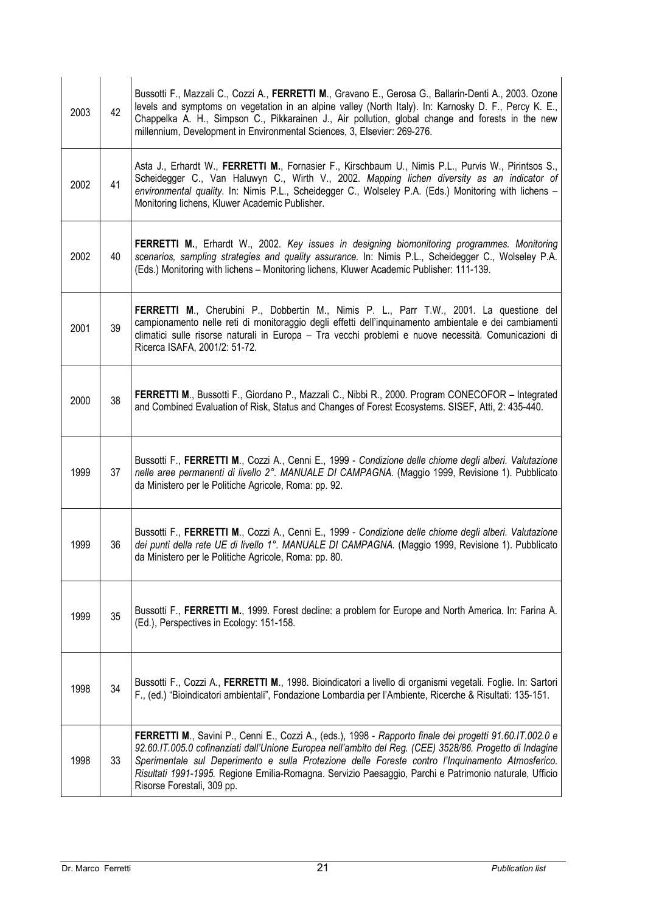| 2003 | 42 | Bussotti F., Mazzali C., Cozzi A., FERRETTI M., Gravano E., Gerosa G., Ballarin-Denti A., 2003. Ozone<br>levels and symptoms on vegetation in an alpine valley (North Italy). In: Karnosky D. F., Percy K. E.,<br>Chappelka A. H., Simpson C., Pikkarainen J., Air pollution, global change and forests in the new<br>millennium, Development in Environmental Sciences, 3, Elsevier: 269-276.                                                                   |
|------|----|------------------------------------------------------------------------------------------------------------------------------------------------------------------------------------------------------------------------------------------------------------------------------------------------------------------------------------------------------------------------------------------------------------------------------------------------------------------|
| 2002 | 41 | Asta J., Erhardt W., FERRETTI M., Fornasier F., Kirschbaum U., Nimis P.L., Purvis W., Pirintsos S.,<br>Scheidegger C., Van Haluwyn C., Wirth V., 2002. Mapping lichen diversity as an indicator of<br>environmental quality. In: Nimis P.L., Scheidegger C., Wolseley P.A. (Eds.) Monitoring with lichens -<br>Monitoring lichens, Kluwer Academic Publisher.                                                                                                    |
| 2002 | 40 | FERRETTI M., Erhardt W., 2002. Key issues in designing biomonitoring programmes. Monitoring<br>scenarios, sampling strategies and quality assurance. In: Nimis P.L., Scheidegger C., Wolseley P.A.<br>(Eds.) Monitoring with lichens - Monitoring lichens, Kluwer Academic Publisher: 111-139.                                                                                                                                                                   |
| 2001 | 39 | FERRETTI M., Cherubini P., Dobbertin M., Nimis P. L., Parr T.W., 2001. La questione del<br>campionamento nelle reti di monitoraggio degli effetti dell'inquinamento ambientale e dei cambiamenti<br>climatici sulle risorse naturali in Europa - Tra vecchi problemi e nuove necessità. Comunicazioni di<br>Ricerca ISAFA, 2001/2: 51-72.                                                                                                                        |
| 2000 | 38 | FERRETTI M., Bussotti F., Giordano P., Mazzali C., Nibbi R., 2000. Program CONECOFOR - Integrated<br>and Combined Evaluation of Risk, Status and Changes of Forest Ecosystems. SISEF, Atti, 2: 435-440.                                                                                                                                                                                                                                                          |
| 1999 | 37 | Bussotti F., FERRETTI M., Cozzi A., Cenni E., 1999 - Condizione delle chiome degli alberi. Valutazione<br>nelle aree permanenti di livello 2°. MANUALE DI CAMPAGNA. (Maggio 1999, Revisione 1). Pubblicato<br>da Ministero per le Politiche Agricole, Roma: pp. 92.                                                                                                                                                                                              |
| 1999 | 36 | Bussotti F., FERRETTI M., Cozzi A., Cenni E., 1999 - Condizione delle chiome degli alberi. Valutazione<br>dei punti della rete UE di livello 1°. MANUALE DI CAMPAGNA. (Maggio 1999, Revisione 1). Pubblicato<br>da Ministero per le Politiche Agricole, Roma: pp. 80.                                                                                                                                                                                            |
| 1999 | 35 | Bussotti F., FERRETTI M., 1999. Forest decline: a problem for Europe and North America. In: Farina A.<br>(Ed.), Perspectives in Ecology: 151-158.                                                                                                                                                                                                                                                                                                                |
| 1998 | 34 | Bussotti F., Cozzi A., FERRETTI M., 1998. Bioindicatori a livello di organismi vegetali. Foglie. In: Sartori<br>F., (ed.) "Bioindicatori ambientali", Fondazione Lombardia per l'Ambiente, Ricerche & Risultati: 135-151.                                                                                                                                                                                                                                        |
| 1998 | 33 | FERRETTI M., Savini P., Cenni E., Cozzi A., (eds.), 1998 - Rapporto finale dei progetti 91.60.IT.002.0 e<br>92.60.IT.005.0 cofinanziati dall'Unione Europea nell'ambito del Reg. (CEE) 3528/86. Progetto di Indagine<br>Sperimentale sul Deperimento e sulla Protezione delle Foreste contro l'Inquinamento Atmosferico.<br>Risultati 1991-1995. Regione Emilia-Romagna. Servizio Paesaggio, Parchi e Patrimonio naturale, Ufficio<br>Risorse Forestali, 309 pp. |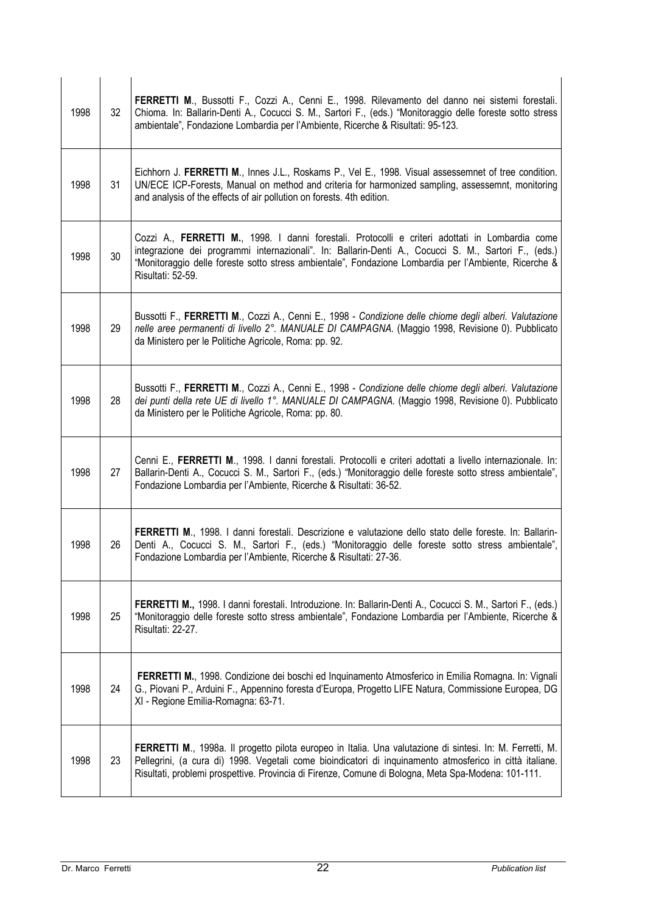| 1998 | 32 | FERRETTI M., Bussotti F., Cozzi A., Cenni E., 1998. Rilevamento del danno nei sistemi forestali.<br>Chioma. In: Ballarin-Denti A., Cocucci S. M., Sartori F., (eds.) "Monitoraggio delle foreste sotto stress<br>ambientale", Fondazione Lombardia per l'Ambiente, Ricerche & Risultati: 95-123.                                      |
|------|----|---------------------------------------------------------------------------------------------------------------------------------------------------------------------------------------------------------------------------------------------------------------------------------------------------------------------------------------|
| 1998 | 31 | Eichhorn J. FERRETTI M., Innes J.L., Roskams P., Vel E., 1998. Visual assessemnet of tree condition.<br>UN/ECE ICP-Forests, Manual on method and criteria for harmonized sampling, assessemnt, monitoring<br>and analysis of the effects of air pollution on forests. 4th edition.                                                    |
| 1998 | 30 | Cozzi A., FERRETTI M., 1998. I danni forestali. Protocolli e criteri adottati in Lombardia come<br>integrazione dei programmi internazionali". In: Ballarin-Denti A., Cocucci S. M., Sartori F., (eds.)<br>"Monitoraggio delle foreste sotto stress ambientale", Fondazione Lombardia per l'Ambiente, Ricerche &<br>Risultati: 52-59. |
| 1998 | 29 | Bussotti F., FERRETTI M., Cozzi A., Cenni E., 1998 - Condizione delle chiome degli alberi. Valutazione<br>nelle aree permanenti di livello 2°. MANUALE DI CAMPAGNA. (Maggio 1998, Revisione 0). Pubblicato<br>da Ministero per le Politiche Agricole, Roma: pp. 92.                                                                   |
| 1998 | 28 | Bussotti F., FERRETTI M., Cozzi A., Cenni E., 1998 - Condizione delle chiome degli alberi. Valutazione<br>dei punti della rete UE di livello 1°. MANUALE DI CAMPAGNA. (Maggio 1998, Revisione 0). Pubblicato<br>da Ministero per le Politiche Agricole, Roma: pp. 80.                                                                 |
| 1998 | 27 | Cenni E., FERRETTI M., 1998. I danni forestali. Protocolli e criteri adottati a livello internazionale. In:<br>Ballarin-Denti A., Cocucci S. M., Sartori F., (eds.) "Monitoraggio delle foreste sotto stress ambientale",<br>Fondazione Lombardia per l'Ambiente, Ricerche & Risultati: 36-52.                                        |
| 1998 | 26 | FERRETTI M., 1998. I danni forestali. Descrizione e valutazione dello stato delle foreste. In: Ballarin-<br>Denti A., Cocucci S. M., Sartori F., (eds.) "Monitoraggio delle foreste sotto stress ambientale",<br>Fondazione Lombardia per l'Ambiente, Ricerche & Risultati: 27-36.                                                    |
| 1998 | 25 | FERRETTI M., 1998. I danni forestali. Introduzione. In: Ballarin-Denti A., Cocucci S. M., Sartori F., (eds.)<br>"Monitoraggio delle foreste sotto stress ambientale", Fondazione Lombardia per l'Ambiente, Ricerche &<br>Risultati: 22-27.                                                                                            |
| 1998 | 24 | FERRETTI M., 1998. Condizione dei boschi ed Inquinamento Atmosferico in Emilia Romagna. In: Vignali<br>G., Piovani P., Arduini F., Appennino foresta d'Europa, Progetto LIFE Natura, Commissione Europea, DG<br>XI - Regione Emilia-Romagna: 63-71.                                                                                   |
| 1998 | 23 | FERRETTI M., 1998a. Il progetto pilota europeo in Italia. Una valutazione di sintesi. In: M. Ferretti, M.<br>Pellegrini, (a cura di) 1998. Vegetali come bioindicatori di inquinamento atmosferico in città italiane.<br>Risultati, problemi prospettive. Provincia di Firenze, Comune di Bologna, Meta Spa-Modena: 101-111.          |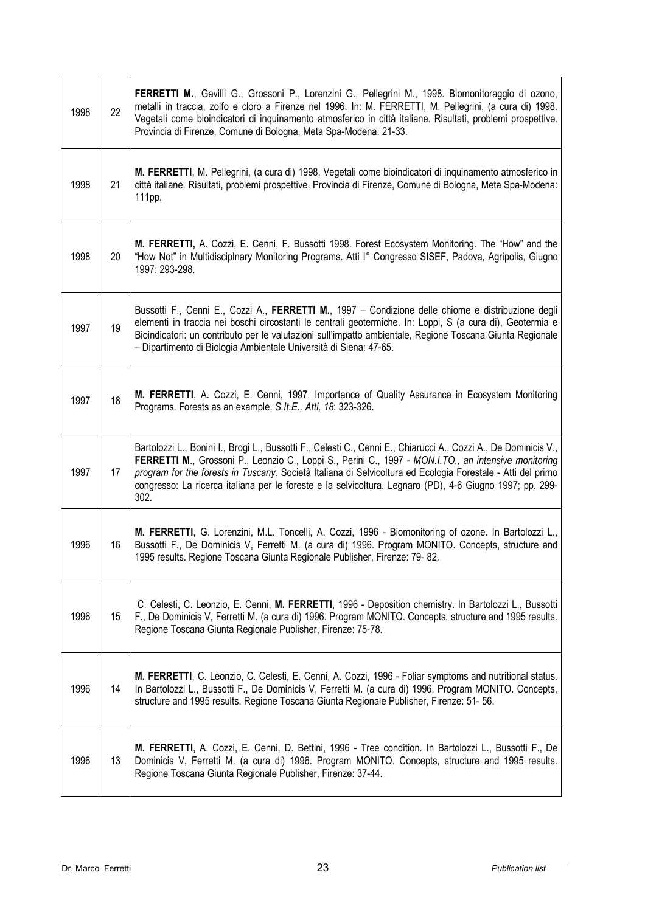| 1998 | 22 | FERRETTI M., Gavilli G., Grossoni P., Lorenzini G., Pellegrini M., 1998. Biomonitoraggio di ozono,<br>metalli in traccia, zolfo e cloro a Firenze nel 1996. In: M. FERRETTI, M. Pellegrini, (a cura di) 1998.<br>Vegetali come bioindicatori di inquinamento atmosferico in città italiane. Risultati, problemi prospettive.<br>Provincia di Firenze, Comune di Bologna, Meta Spa-Modena: 21-33.                                                           |
|------|----|------------------------------------------------------------------------------------------------------------------------------------------------------------------------------------------------------------------------------------------------------------------------------------------------------------------------------------------------------------------------------------------------------------------------------------------------------------|
| 1998 | 21 | M. FERRETTI, M. Pellegrini, (a cura di) 1998. Vegetali come bioindicatori di inquinamento atmosferico in<br>città italiane. Risultati, problemi prospettive. Provincia di Firenze, Comune di Bologna, Meta Spa-Modena:<br>111pp.                                                                                                                                                                                                                           |
| 1998 | 20 | M. FERRETTI, A. Cozzi, E. Cenni, F. Bussotti 1998. Forest Ecosystem Monitoring. The "How" and the<br>"How Not" in Multidisciplnary Monitoring Programs. Atti I° Congresso SISEF, Padova, Agripolis, Giugno<br>1997: 293-298.                                                                                                                                                                                                                               |
| 1997 | 19 | Bussotti F., Cenni E., Cozzi A., FERRETTI M., 1997 - Condizione delle chiome e distribuzione degli<br>elementi in traccia nei boschi circostanti le centrali geotermiche. In: Loppi, S (a cura di), Geotermia e<br>Bioindicatori: un contributo per le valutazioni sull'impatto ambientale, Regione Toscana Giunta Regionale<br>- Dipartimento di Biologia Ambientale Università di Siena: 47-65.                                                          |
| 1997 | 18 | M. FERRETTI, A. Cozzi, E. Cenni, 1997. Importance of Quality Assurance in Ecosystem Monitoring<br>Programs. Forests as an example. S.It.E., Atti, 18: 323-326.                                                                                                                                                                                                                                                                                             |
| 1997 | 17 | Bartolozzi L., Bonini I., Brogi L., Bussotti F., Celesti C., Cenni E., Chiarucci A., Cozzi A., De Dominicis V.,<br>FERRETTI M., Grossoni P., Leonzio C., Loppi S., Perini C., 1997 - MON.I.TO., an intensive monitoring<br>program for the forests in Tuscany. Società Italiana di Selvicoltura ed Ecologia Forestale - Atti del primo<br>congresso: La ricerca italiana per le foreste e la selvicoltura. Legnaro (PD), 4-6 Giugno 1997; pp. 299-<br>302. |
| 1996 | 16 | M. FERRETTI, G. Lorenzini, M.L. Toncelli, A. Cozzi, 1996 - Biomonitoring of ozone. In Bartolozzi L.,<br>Bussotti F., De Dominicis V, Ferretti M. (a cura di) 1996. Program MONITO. Concepts, structure and<br>1995 results. Regione Toscana Giunta Regionale Publisher, Firenze: 79-82.                                                                                                                                                                    |
| 1996 | 15 | C. Celesti, C. Leonzio, E. Cenni, M. FERRETTI, 1996 - Deposition chemistry. In Bartolozzi L., Bussotti<br>F., De Dominicis V, Ferretti M. (a cura di) 1996. Program MONITO. Concepts, structure and 1995 results.<br>Regione Toscana Giunta Regionale Publisher, Firenze: 75-78.                                                                                                                                                                           |
| 1996 | 14 | M. FERRETTI, C. Leonzio, C. Celesti, E. Cenni, A. Cozzi, 1996 - Foliar symptoms and nutritional status.<br>In Bartolozzi L., Bussotti F., De Dominicis V, Ferretti M. (a cura di) 1996. Program MONITO. Concepts,<br>structure and 1995 results. Regione Toscana Giunta Regionale Publisher, Firenze: 51-56.                                                                                                                                               |
| 1996 | 13 | M. FERRETTI, A. Cozzi, E. Cenni, D. Bettini, 1996 - Tree condition. In Bartolozzi L., Bussotti F., De<br>Dominicis V, Ferretti M. (a cura di) 1996. Program MONITO. Concepts, structure and 1995 results.<br>Regione Toscana Giunta Regionale Publisher, Firenze: 37-44.                                                                                                                                                                                   |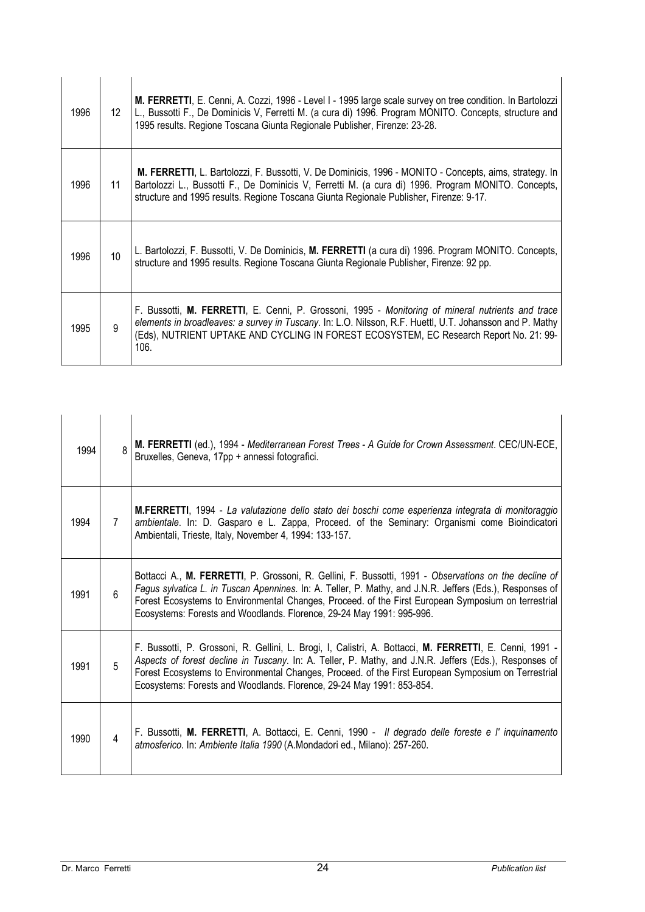| 1996 | 12 <sup>°</sup> | M. FERRETTI, E. Cenni, A. Cozzi, 1996 - Level I - 1995 large scale survey on tree condition. In Bartolozzi<br>L., Bussotti F., De Dominicis V, Ferretti M. (a cura di) 1996. Program MONITO. Concepts, structure and<br>1995 results. Regione Toscana Giunta Regionale Publisher, Firenze: 23-28.               |
|------|-----------------|-----------------------------------------------------------------------------------------------------------------------------------------------------------------------------------------------------------------------------------------------------------------------------------------------------------------|
| 1996 | 11              | M. FERRETTI, L. Bartolozzi, F. Bussotti, V. De Dominicis, 1996 - MONITO - Concepts, aims, strategy. In<br>Bartolozzi L., Bussotti F., De Dominicis V, Ferretti M. (a cura di) 1996. Program MONITO. Concepts,<br>structure and 1995 results. Regione Toscana Giunta Regionale Publisher, Firenze: 9-17.         |
| 1996 | 10 <sup>1</sup> | L. Bartolozzi, F. Bussotti, V. De Dominicis, M. FERRETTI (a cura di) 1996. Program MONITO. Concepts,<br>structure and 1995 results. Regione Toscana Giunta Regionale Publisher, Firenze: 92 pp.                                                                                                                 |
| 1995 | 9               | F. Bussotti, M. FERRETTI, E. Cenni, P. Grossoni, 1995 - Monitoring of mineral nutrients and trace<br>elements in broadleaves: a survey in Tuscany. In: L.O. Nilsson, R.F. Huettl, U.T. Johansson and P. Mathy<br>(Eds), NUTRIENT UPTAKE AND CYCLING IN FOREST ECOSYSTEM, EC Research Report No. 21: 99-<br>106. |

| 1994 | $\mathsf{R}$   | M. FERRETTI (ed.), 1994 - Mediterranean Forest Trees - A Guide for Crown Assessment. CEC/UN-ECE,<br>Bruxelles, Geneva, 17pp + annessi fotografici.                                                                                                                                                                                                                                                |
|------|----------------|---------------------------------------------------------------------------------------------------------------------------------------------------------------------------------------------------------------------------------------------------------------------------------------------------------------------------------------------------------------------------------------------------|
| 1994 | $\overline{7}$ | <b>M.FERRETTI</b> , 1994 - La valutazione dello stato dei boschi come esperienza integrata di monitoraggio<br>ambientale. In: D. Gasparo e L. Zappa, Proceed. of the Seminary: Organismi come Bioindicatori<br>Ambientali, Trieste, Italy, November 4, 1994: 133-157.                                                                                                                             |
| 1991 | 6              | Bottacci A., M. FERRETTI, P. Grossoni, R. Gellini, F. Bussotti, 1991 - Observations on the decline of<br>Fagus sylvatica L. in Tuscan Apennines. In: A. Teller, P. Mathy, and J.N.R. Jeffers (Eds.), Responses of<br>Forest Ecosystems to Environmental Changes, Proceed. of the First European Symposium on terrestrial<br>Ecosystems: Forests and Woodlands. Florence, 29-24 May 1991: 995-996. |
| 1991 | 5              | F. Bussotti, P. Grossoni, R. Gellini, L. Brogi, I, Calistri, A. Bottacci, M. FERRETTI, E. Cenni, 1991 -<br>Aspects of forest decline in Tuscany. In: A. Teller, P. Mathy, and J.N.R. Jeffers (Eds.), Responses of<br>Forest Ecosystems to Environmental Changes, Proceed. of the First European Symposium on Terrestrial<br>Ecosystems: Forests and Woodlands. Florence, 29-24 May 1991: 853-854. |
| 1990 | $\overline{4}$ | F. Bussotti, M. FERRETTI, A. Bottacci, E. Cenni, 1990 - Il degrado delle foreste e l' inquinamento<br>atmosferico. In: Ambiente Italia 1990 (A.Mondadori ed., Milano): 257-260.                                                                                                                                                                                                                   |